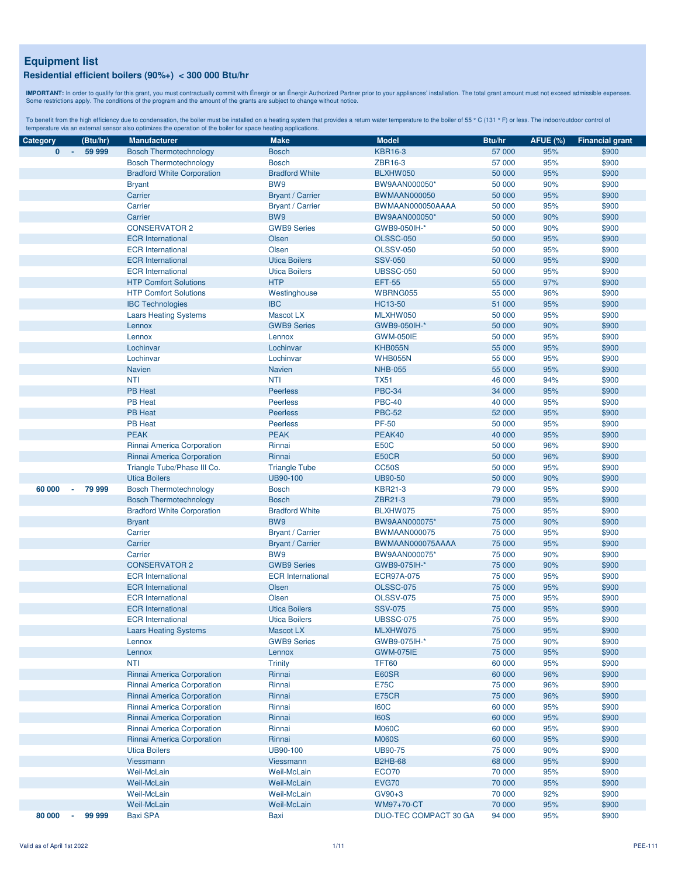**IMPORTANT:** In order to qualify for this grant, you must contractually commit with Énergir o an Énergir Authorized Partner prior to your appliances' installation. The total grant amount must not exceed admissible expenses

| Category               | (Btu/hr)                 | <b>Manufacturer</b>               | <b>Make</b>              | <b>Model</b>          | Btu/hr | <b>AFUE (%)</b> | <b>Financial grant</b> |
|------------------------|--------------------------|-----------------------------------|--------------------------|-----------------------|--------|-----------------|------------------------|
| $\mathbf{0}$<br>$\sim$ | 59 999                   | <b>Bosch Thermotechnology</b>     | <b>Bosch</b>             | <b>KBR16-3</b>        | 57 000 | 95%             | \$900                  |
|                        |                          | <b>Bosch Thermotechnology</b>     | <b>Bosch</b>             | ZBR16-3               | 57 000 | 95%             | \$900                  |
|                        |                          | <b>Bradford White Corporation</b> | <b>Bradford White</b>    | BLXHW050              | 50 000 | 95%             | \$900                  |
|                        |                          | <b>Bryant</b>                     | BW9                      | BW9AAN000050*         | 50 000 | 90%             | \$900                  |
|                        |                          | Carrier                           | <b>Bryant / Carrier</b>  | <b>BWMAAN000050</b>   | 50 000 | 95%             | \$900                  |
|                        |                          | Carrier                           | <b>Bryant / Carrier</b>  | BWMAAN000050AAAA      | 50 000 | 95%             | \$900                  |
|                        |                          | Carrier                           | BW9                      | BW9AAN000050*         | 50 000 | 90%             | \$900                  |
|                        |                          | <b>CONSERVATOR 2</b>              | <b>GWB9 Series</b>       | GWB9-050IH-*          | 50 000 | 90%             | \$900                  |
|                        |                          | <b>ECR</b> International          | Olsen                    | <b>OLSSC-050</b>      | 50 000 | 95%             | \$900                  |
|                        |                          | <b>ECR</b> International          | Olsen                    | <b>OLSSV-050</b>      | 50 000 | 95%             | \$900                  |
|                        |                          | <b>ECR</b> International          | <b>Utica Boilers</b>     | <b>SSV-050</b>        | 50 000 | 95%             | \$900                  |
|                        |                          | <b>ECR</b> International          | <b>Utica Boilers</b>     | <b>UBSSC-050</b>      | 50 000 | 95%             | \$900                  |
|                        |                          | <b>HTP Comfort Solutions</b>      | <b>HTP</b>               | <b>EFT-55</b>         | 55 000 | 97%             | \$900                  |
|                        |                          | <b>HTP Comfort Solutions</b>      | Westinghouse             | WBRNG055              | 55 000 | 96%             | \$900                  |
|                        |                          | <b>IBC Technologies</b>           | <b>IBC</b>               | HC13-50               | 51 000 | 95%             | \$900                  |
|                        |                          | <b>Laars Heating Systems</b>      | Mascot LX                | MLXHW050              | 50 000 | 95%             | \$900                  |
|                        |                          | Lennox                            | <b>GWB9 Series</b>       | GWB9-050IH-*          | 50 000 | 90%             | \$900                  |
|                        |                          | Lennox                            | Lennox                   | <b>GWM-050IE</b>      | 50 000 | 95%             | \$900                  |
|                        |                          | Lochinvar                         | Lochinvar                | <b>KHB055N</b>        | 55 000 | 95%             | \$900                  |
|                        |                          | Lochinvar                         | Lochinvar                | <b>WHB055N</b>        | 55 000 | 95%             | \$900                  |
|                        |                          | <b>Navien</b>                     |                          | <b>NHB-055</b>        | 55 000 | 95%             |                        |
|                        |                          |                                   | <b>Navien</b>            |                       |        |                 | \$900                  |
|                        |                          | <b>NTI</b>                        | <b>NTI</b>               | <b>TX51</b>           | 46 000 | 94%             | \$900                  |
|                        |                          | <b>PB Heat</b>                    | <b>Peerless</b>          | <b>PBC-34</b>         | 34 000 | 95%             | \$900                  |
|                        |                          | <b>PB Heat</b>                    | <b>Peerless</b>          | <b>PBC-40</b>         | 40 000 | 95%             | \$900                  |
|                        |                          | <b>PB Heat</b>                    | <b>Peerless</b>          | <b>PBC-52</b>         | 52 000 | 95%             | \$900                  |
|                        |                          | <b>PB Heat</b>                    | <b>Peerless</b>          | <b>PF-50</b>          | 50 000 | 95%             | \$900                  |
|                        |                          | <b>PEAK</b>                       | <b>PEAK</b>              | PEAK40                | 40 000 | 95%             | \$900                  |
|                        |                          | Rinnai America Corporation        | Rinnai                   | <b>E50C</b>           | 50 000 | 96%             | \$900                  |
|                        |                          | Rinnai America Corporation        | Rinnai                   | E50CR                 | 50 000 | 96%             | \$900                  |
|                        |                          | Triangle Tube/Phase III Co.       | <b>Triangle Tube</b>     | <b>CC50S</b>          | 50 000 | 95%             | \$900                  |
|                        |                          | <b>Utica Boilers</b>              | UB90-100                 | <b>UB90-50</b>        | 50 000 | 90%             | \$900                  |
| 60 000                 | 79 999<br>$\blacksquare$ | <b>Bosch Thermotechnology</b>     | <b>Bosch</b>             | <b>KBR21-3</b>        | 79 000 | 95%             | \$900                  |
|                        |                          | <b>Bosch Thermotechnology</b>     | <b>Bosch</b>             | ZBR21-3               | 79 000 | 95%             | \$900                  |
|                        |                          | <b>Bradford White Corporation</b> | <b>Bradford White</b>    | BLXHW075              | 75 000 | 95%             | \$900                  |
|                        |                          | <b>Bryant</b>                     | BW9                      | BW9AAN000075*         | 75 000 | 90%             | \$900                  |
|                        |                          | Carrier                           | <b>Bryant / Carrier</b>  | <b>BWMAAN000075</b>   | 75 000 | 95%             | \$900                  |
|                        |                          | Carrier                           | <b>Bryant / Carrier</b>  | BWMAAN000075AAAA      | 75 000 | 95%             | \$900                  |
|                        |                          | Carrier                           | BW9                      | BW9AAN000075*         | 75 000 | 90%             | \$900                  |
|                        |                          | <b>CONSERVATOR 2</b>              | <b>GWB9 Series</b>       | GWB9-075IH-*          | 75 000 | 90%             | \$900                  |
|                        |                          | <b>ECR</b> International          | <b>ECR</b> International | ECR97A-075            | 75 000 | 95%             | \$900                  |
|                        |                          | <b>ECR</b> International          | Olsen                    | <b>OLSSC-075</b>      | 75 000 | 95%             | \$900                  |
|                        |                          | <b>ECR</b> International          | Olsen                    | <b>OLSSV-075</b>      | 75 000 | 95%             | \$900                  |
|                        |                          | <b>ECR</b> International          | <b>Utica Boilers</b>     | <b>SSV-075</b>        | 75 000 | 95%             | \$900                  |
|                        |                          | <b>ECR</b> International          | <b>Utica Boilers</b>     | <b>UBSSC-075</b>      | 75 000 | 95%             | \$900                  |
|                        |                          | <b>Laars Heating Systems</b>      | Mascot LX                | MLXHW075              | 75 000 | 95%             | \$900                  |
|                        |                          | Lennox                            | <b>GWB9 Series</b>       | GWB9-075IH-*          | 75 000 | 90%             | \$900                  |
|                        |                          | Lennox                            | Lennox                   | <b>GWM-075IE</b>      | 75 000 | 95%             | \$900                  |
|                        |                          | <b>NTI</b>                        | <b>Trinity</b>           | <b>TFT60</b>          | 60 000 | 95%             | \$900                  |
|                        |                          | Rinnai America Corporation        | Rinnai                   | E60SR                 | 60 000 | 96%             | \$900                  |
|                        |                          | Rinnai America Corporation        | Rinnai                   | <b>E75C</b>           | 75 000 | 96%             | \$900                  |
|                        |                          | Rinnai America Corporation        | Rinnai                   | <b>E75CR</b>          | 75 000 | 96%             | \$900                  |
|                        |                          | Rinnai America Corporation        | Rinnai                   | <b>I60C</b>           | 60 000 | 95%             | \$900                  |
|                        |                          | Rinnai America Corporation        | Rinnai                   | <b>I60S</b>           | 60 000 | 95%             | \$900                  |
|                        |                          | Rinnai America Corporation        | Rinnai                   | <b>M060C</b>          | 60 000 | 95%             | \$900                  |
|                        |                          | Rinnai America Corporation        | Rinnai                   | <b>M060S</b>          | 60 000 | 95%             | \$900                  |
|                        |                          | <b>Utica Boilers</b>              | UB90-100                 | <b>UB90-75</b>        | 75 000 | 90%             | \$900                  |
|                        |                          | Viessmann                         | Viessmann                | <b>B2HB-68</b>        | 68 000 | 95%             | \$900                  |
|                        |                          | Weil-McLain                       | Weil-McLain              | ECO70                 | 70 000 | 95%             | \$900                  |
|                        |                          | Weil-McLain                       | Weil-McLain              | <b>EVG70</b>          | 70 000 | 95%             | \$900                  |
|                        |                          | Weil-McLain                       | Weil-McLain              | $GV90+3$              | 70 000 | 92%             | \$900                  |
|                        |                          | Weil-McLain                       | <b>Weil-McLain</b>       | WM97+70-CT            | 70 000 | 95%             | \$900                  |
| 80 000                 | 99 999<br>$\blacksquare$ | <b>Baxi SPA</b>                   | Baxi                     | DUO-TEC COMPACT 30 GA | 94 000 | 95%             | \$900                  |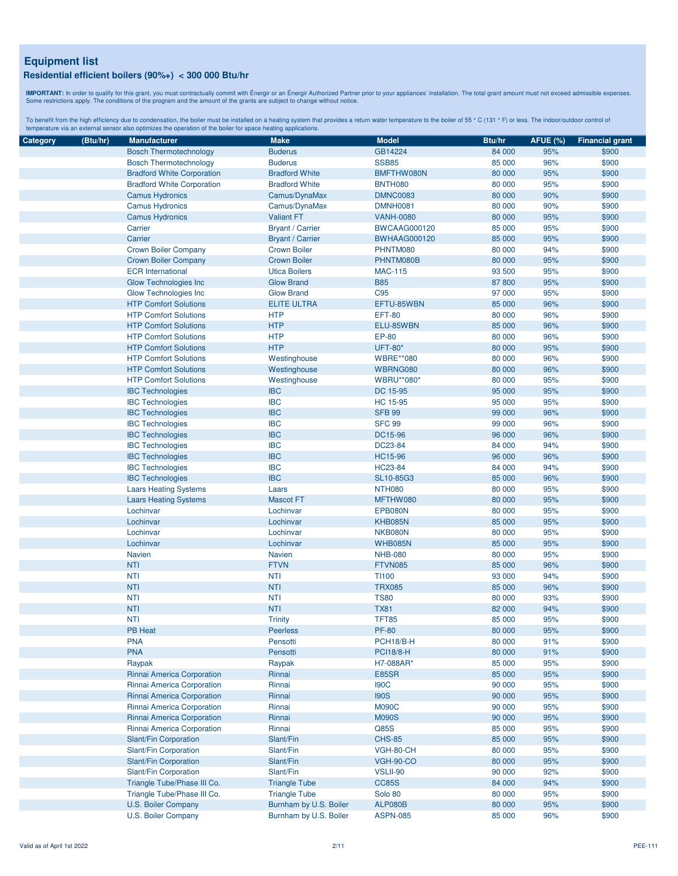**IMPORTANT:** In order to qualify for this grant, you must contractually commit with Énergir o an Énergir Authorized Partner prior to your appliances' installation. The total grant amount must not exceed admissible expenses

| Category | (Btu/hr) | <b>Manufacturer</b>               | <b>Make</b>             | <b>Model</b>        | Btu/hr | <b>AFUE (%)</b> | <b>Financial grant</b> |
|----------|----------|-----------------------------------|-------------------------|---------------------|--------|-----------------|------------------------|
|          |          | <b>Bosch Thermotechnology</b>     | <b>Buderus</b>          | GB14224             | 84 000 | 95%             | \$900                  |
|          |          | <b>Bosch Thermotechnology</b>     | <b>Buderus</b>          | <b>SSB85</b>        | 85 000 | 96%             | \$900                  |
|          |          | <b>Bradford White Corporation</b> | <b>Bradford White</b>   | BMFTHW080N          | 80 000 | 95%             | \$900                  |
|          |          | <b>Bradford White Corporation</b> | <b>Bradford White</b>   | <b>BNTH080</b>      | 80 000 | 95%             | \$900                  |
|          |          | <b>Camus Hydronics</b>            | Camus/DynaMax           | <b>DMNC0083</b>     | 80 000 | 90%             | \$900                  |
|          |          | <b>Camus Hydronics</b>            | Camus/DynaMax           | <b>DMNH0081</b>     | 80 000 | 90%             | \$900                  |
|          |          | <b>Camus Hydronics</b>            | <b>Valiant FT</b>       | <b>VANH-0080</b>    | 80 000 | 95%             | \$900                  |
|          |          | Carrier                           | <b>Bryant / Carrier</b> | <b>BWCAAG000120</b> | 85 000 | 95%             | \$900                  |
|          |          | Carrier                           | <b>Bryant / Carrier</b> | <b>BWHAAG000120</b> | 85 000 | 95%             | \$900                  |
|          |          | Crown Boiler Company              | <b>Crown Boiler</b>     | PHNTM080            | 80 000 | 94%             | \$900                  |
|          |          | <b>Crown Boiler Company</b>       | <b>Crown Boiler</b>     | PHNTM080B           | 80 000 | 95%             | \$900                  |
|          |          | <b>ECR</b> International          | <b>Utica Boilers</b>    | <b>MAC-115</b>      | 93 500 | 95%             | \$900                  |
|          |          | <b>Glow Technologies Inc</b>      | <b>Glow Brand</b>       | <b>B85</b>          | 87 800 | 95%             | \$900                  |
|          |          | Glow Technologies Inc             | <b>Glow Brand</b>       | C <sub>95</sub>     | 97 000 | 95%             | \$900                  |
|          |          | <b>HTP Comfort Solutions</b>      | <b>ELITE ULTRA</b>      | EFTU-85WBN          | 85 000 | 96%             | \$900                  |
|          |          | <b>HTP Comfort Solutions</b>      | <b>HTP</b>              | <b>EFT-80</b>       | 80 000 | 96%             | \$900                  |
|          |          | <b>HTP Comfort Solutions</b>      | <b>HTP</b>              | ELU-85WBN           | 85 000 | 96%             | \$900                  |
|          |          | <b>HTP Comfort Solutions</b>      | <b>HTP</b>              | EP-80               | 80 000 | 96%             | \$900                  |
|          |          | <b>HTP Comfort Solutions</b>      | <b>HTP</b>              | <b>UFT-80*</b>      | 80 000 | 95%             | \$900                  |
|          |          | <b>HTP Comfort Solutions</b>      |                         | <b>WBRE**080</b>    | 80 000 | 96%             | \$900                  |
|          |          | <b>HTP Comfort Solutions</b>      | Westinghouse            | WBRNG080            | 80 000 | 96%             | \$900                  |
|          |          |                                   | Westinghouse            |                     |        |                 |                        |
|          |          | <b>HTP Comfort Solutions</b>      | Westinghouse            | <b>WBRU**080*</b>   | 80 000 | 95%             | \$900                  |
|          |          | <b>IBC Technologies</b>           | <b>IBC</b>              | DC 15-95            | 95 000 | 95%             | \$900                  |
|          |          | <b>IBC Technologies</b>           | <b>IBC</b>              | HC 15-95            | 95 000 | 95%             | \$900                  |
|          |          | <b>IBC Technologies</b>           | <b>IBC</b>              | <b>SFB 99</b>       | 99 000 | 96%             | \$900                  |
|          |          | <b>IBC Technologies</b>           | <b>IBC</b>              | <b>SFC 99</b>       | 99 000 | 96%             | \$900                  |
|          |          | <b>IBC Technologies</b>           | <b>IBC</b>              | DC15-96             | 96 000 | 96%             | \$900                  |
|          |          | <b>IBC Technologies</b>           | <b>IBC</b>              | DC23-84             | 84 000 | 94%             | \$900                  |
|          |          | <b>IBC Technologies</b>           | <b>IBC</b>              | <b>HC15-96</b>      | 96 000 | 96%             | \$900                  |
|          |          | <b>IBC Technologies</b>           | <b>IBC</b>              | HC23-84             | 84 000 | 94%             | \$900                  |
|          |          | <b>IBC Technologies</b>           | <b>IBC</b>              | SL10-85G3           | 85 000 | 96%             | \$900                  |
|          |          | <b>Laars Heating Systems</b>      | Laars                   | <b>NTH080</b>       | 80 000 | 95%             | \$900                  |
|          |          | <b>Laars Heating Systems</b>      | <b>Mascot FT</b>        | MFTHW080            | 80 000 | 95%             | \$900                  |
|          |          | Lochinvar                         | Lochinvar               | EPB080N             | 80 000 | 95%             | \$900                  |
|          |          | Lochinvar                         | Lochinvar               | <b>KHB085N</b>      | 85 000 | 95%             | \$900                  |
|          |          | Lochinvar                         | Lochinvar               | NKB080N             | 80 000 | 95%             | \$900                  |
|          |          | Lochinvar                         | Lochinvar               | <b>WHB085N</b>      | 85 000 | 95%             | \$900                  |
|          |          | <b>Navien</b>                     | <b>Navien</b>           | <b>NHB-080</b>      | 80 000 | 95%             | \$900                  |
|          |          | <b>NTI</b>                        | <b>FTVN</b>             | <b>FTVN085</b>      | 85 000 | 96%             | \$900                  |
|          |          | <b>NTI</b>                        | <b>NTI</b>              | <b>TI100</b>        | 93 000 | 94%             | \$900                  |
|          |          | <b>NTI</b>                        | <b>NTI</b>              | <b>TRX085</b>       | 85 000 | 96%             | \$900                  |
|          |          | <b>NTI</b>                        | <b>NTI</b>              | <b>TS80</b>         | 80 000 | 93%             | \$900                  |
|          |          | <b>NTI</b>                        | <b>NTI</b>              | <b>TX81</b>         | 82 000 | 94%             | \$900                  |
|          |          | <b>NTI</b>                        | <b>Trinity</b>          | <b>TFT85</b>        | 85 000 | 95%             | \$900                  |
|          |          | PB Heat                           | Peerless                | <b>PF-80</b>        | 80 000 | 95%             | \$900                  |
|          |          | <b>PNA</b>                        | Pensotti                | PCH18/B-H           | 80 000 | 91%             | \$900                  |
|          |          | <b>PNA</b>                        | Pensotti                | <b>PCI18/8-H</b>    | 80 000 | 91%             | \$900                  |
|          |          | Raypak                            | Raypak                  | H7-088AR*           | 85 000 | 95%             | \$900                  |
|          |          | Rinnai America Corporation        | Rinnai                  | E85SR               | 85 000 | 95%             | \$900                  |
|          |          | Rinnai America Corporation        | Rinnai                  | <b>190C</b>         | 90 000 | 95%             | \$900                  |
|          |          | Rinnai America Corporation        | Rinnai                  | <b>190S</b>         | 90 000 | 95%             | \$900                  |
|          |          | Rinnai America Corporation        | Rinnai                  | <b>M090C</b>        | 90 000 | 95%             | \$900                  |
|          |          | Rinnai America Corporation        | Rinnai                  | <b>M090S</b>        | 90 000 | 95%             | \$900                  |
|          |          | Rinnai America Corporation        | Rinnai                  | Q85S                | 85 000 | 95%             | \$900                  |
|          |          | Slant/Fin Corporation             | Slant/Fin               | <b>CHS-85</b>       | 85 000 | 95%             | \$900                  |
|          |          | Slant/Fin Corporation             | Slant/Fin               | VGH-80-CH           | 80 000 | 95%             | \$900                  |
|          |          | Slant/Fin Corporation             | Slant/Fin               | <b>VGH-90-CO</b>    | 80 000 | 95%             | \$900                  |
|          |          | Slant/Fin Corporation             | Slant/Fin               | VSLII-90            | 90 000 | 92%             | \$900                  |
|          |          | Triangle Tube/Phase III Co.       | <b>Triangle Tube</b>    | <b>CC85S</b>        | 84 000 | 94%             | \$900                  |
|          |          | Triangle Tube/Phase III Co.       | <b>Triangle Tube</b>    | Solo 80             | 80 000 | 95%             | \$900                  |
|          |          | U.S. Boiler Company               | Burnham by U.S. Boiler  | <b>ALP080B</b>      | 80 000 | 95%             | \$900                  |
|          |          | U.S. Boiler Company               | Burnham by U.S. Boiler  | <b>ASPN-085</b>     | 85 000 | 96%             | \$900                  |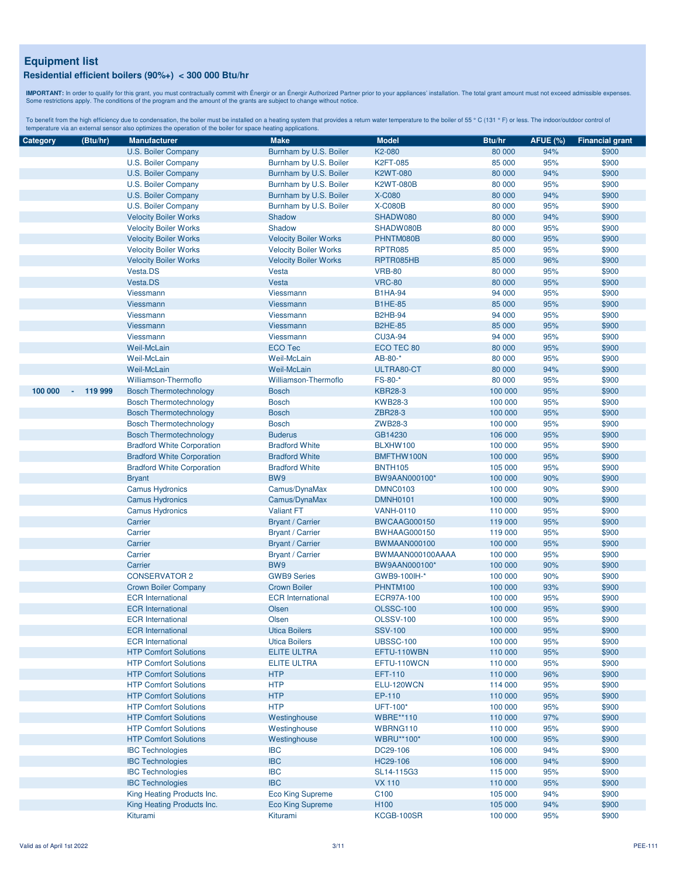**IMPORTANT:** In order to qualify for this grant, you must contractually commit with Énergir o an Énergir Authorized Partner prior to your appliances' installation. The total grant amount must not exceed admissible expenses

| Category | (Btu/hr)                            | <b>Manufacturer</b>                              | <b>Make</b>                                        | <b>Model</b>                       | Btu/hr             | <b>AFUE (%)</b> | <b>Financial grant</b> |
|----------|-------------------------------------|--------------------------------------------------|----------------------------------------------------|------------------------------------|--------------------|-----------------|------------------------|
|          |                                     | U.S. Boiler Company                              | Burnham by U.S. Boiler                             | K2-080                             | 80 000             | 94%             | \$900                  |
|          |                                     | U.S. Boiler Company                              | Burnham by U.S. Boiler                             | K2FT-085                           | 85 000             | 95%             | \$900                  |
|          |                                     | U.S. Boiler Company                              | Burnham by U.S. Boiler                             | <b>K2WT-080</b>                    | 80 000             | 94%             | \$900                  |
|          |                                     | U.S. Boiler Company                              | Burnham by U.S. Boiler                             | <b>K2WT-080B</b>                   | 80 000             | 95%             | \$900                  |
|          |                                     | U.S. Boiler Company                              | Burnham by U.S. Boiler                             | <b>X-C080</b>                      | 80 000             | 94%             | \$900                  |
|          |                                     | U.S. Boiler Company                              | Burnham by U.S. Boiler                             | <b>X-C080B</b>                     | 80 000             | 95%             | \$900                  |
|          |                                     | <b>Velocity Boiler Works</b>                     | Shadow                                             | SHADW080                           | 80 000             | 94%             | \$900                  |
|          |                                     | <b>Velocity Boiler Works</b>                     | Shadow                                             | SHADW080B                          | 80 000             | 95%             | \$900                  |
|          |                                     | <b>Velocity Boiler Works</b>                     | <b>Velocity Boiler Works</b>                       | PHNTM080B                          | 80 000             | 95%             | \$900                  |
|          | <b>Velocity Boiler Works</b>        | <b>Velocity Boiler Works</b>                     | <b>RPTR085</b>                                     | 85 000                             | 95%                | \$900           |                        |
|          |                                     | <b>Velocity Boiler Works</b>                     | <b>Velocity Boiler Works</b>                       | RPTR085HB                          | 85 000             | 96%             | \$900                  |
|          |                                     | Vesta.DS                                         | Vesta                                              | <b>VRB-80</b>                      | 80 000             | 95%             | \$900                  |
|          |                                     | Vesta.DS                                         | Vesta                                              | <b>VRC-80</b>                      | 80 000             | 95%             | \$900                  |
|          |                                     | Viessmann                                        | Viessmann                                          | <b>B1HA-94</b>                     | 94 000             | 95%             | \$900                  |
|          |                                     | Viessmann                                        | Viessmann                                          | <b>B1HE-85</b>                     | 85 000             | 95%             | \$900                  |
|          |                                     | Viessmann                                        | <b>Viessmann</b>                                   | <b>B2HB-94</b>                     | 94 000             | 95%             | \$900                  |
|          |                                     | Viessmann                                        | <b>Viessmann</b>                                   | <b>B2HE-85</b>                     | 85 000             | 95%             | \$900                  |
|          |                                     | Viessmann                                        | Viessmann                                          | <b>CU3A-94</b>                     | 94 000             | 95%             | \$900                  |
|          |                                     | Weil-McLain                                      | <b>ECO Tec</b>                                     | ECO TEC 80                         | 80 000             | 95%             | \$900                  |
|          |                                     | Weil-McLain                                      | <b>Weil-McLain</b>                                 | AB-80-*                            | 80 000             | 95%             | \$900                  |
|          |                                     | Weil-McLain                                      | <b>Weil-McLain</b>                                 | ULTRA80-CT                         | 80 000             | 94%             | \$900                  |
|          |                                     | Williamson-Thermoflo                             | <b>Williamson-Thermoflo</b>                        | FS-80-*                            | 80 000             | 95%             | \$900                  |
| 100 000  | 119 999<br>$\overline{\phantom{a}}$ | <b>Bosch Thermotechnology</b>                    | <b>Bosch</b>                                       | <b>KBR28-3</b>                     | 100 000            | 95%             | \$900                  |
|          |                                     | <b>Bosch Thermotechnology</b>                    | <b>Bosch</b>                                       | <b>KWB28-3</b>                     | 100 000            | 95%             | \$900                  |
|          |                                     | <b>Bosch Thermotechnology</b>                    | <b>Bosch</b>                                       | ZBR28-3                            | 100 000            | 95%             | \$900                  |
|          |                                     | <b>Bosch Thermotechnology</b>                    | <b>Bosch</b>                                       | ZWB28-3                            | 100 000            | 95%             | \$900                  |
|          |                                     | <b>Bosch Thermotechnology</b>                    | <b>Buderus</b>                                     | GB14230                            | 106 000            | 95%             | \$900                  |
|          |                                     | <b>Bradford White Corporation</b>                | <b>Bradford White</b>                              | BLXHW100                           | 100 000            | 95%             | \$900                  |
|          |                                     | <b>Bradford White Corporation</b>                | <b>Bradford White</b>                              | BMFTHW100N                         | 100 000            | 95%             | \$900                  |
|          |                                     |                                                  | <b>Bradford White</b>                              | <b>BNTH105</b>                     | 105 000            | 95%             | \$900                  |
|          |                                     | <b>Bradford White Corporation</b>                | BW9                                                |                                    | 100 000            | 90%             | \$900                  |
|          |                                     | <b>Bryant</b><br><b>Camus Hydronics</b>          | Camus/DynaMax                                      | BW9AAN000100*                      |                    | 90%             | \$900                  |
|          |                                     |                                                  |                                                    | <b>DMNC0103</b><br><b>DMNH0101</b> | 100 000<br>100 000 | 90%             | \$900                  |
|          |                                     | <b>Camus Hydronics</b><br><b>Camus Hydronics</b> | Camus/DynaMax<br><b>Valiant FT</b>                 | <b>VANH-0110</b>                   | 110 000            | 95%             | \$900                  |
|          |                                     | Carrier                                          |                                                    |                                    | 119 000            | 95%             | \$900                  |
|          |                                     | Carrier                                          | <b>Bryant / Carrier</b><br><b>Bryant / Carrier</b> | <b>BWCAAG000150</b>                | 119 000            | 95%             | \$900                  |
|          |                                     | Carrier                                          | <b>Bryant / Carrier</b>                            | <b>BWHAAG000150</b>                |                    | 95%             | \$900                  |
|          |                                     | Carrier                                          |                                                    | <b>BWMAAN000100</b>                | 100 000<br>100 000 | 95%             | \$900                  |
|          |                                     |                                                  | <b>Bryant / Carrier</b>                            | BWMAAN000100AAAA                   |                    |                 |                        |
|          |                                     | Carrier                                          | BW9                                                | BW9AAN000100*                      | 100 000            | 90%             | \$900                  |
|          |                                     | <b>CONSERVATOR 2</b>                             | <b>GWB9 Series</b>                                 | GWB9-100IH-*                       | 100 000            | 90%             | \$900                  |
|          |                                     | <b>Crown Boiler Company</b>                      | <b>Crown Boiler</b>                                | PHNTM100                           | 100 000            | 93%             | \$900                  |
|          |                                     | <b>ECR</b> International                         | <b>ECR</b> International                           | <b>ECR97A-100</b>                  | 100 000            | 95%             | \$900                  |
|          |                                     | <b>ECR</b> International                         | Olsen                                              | <b>OLSSC-100</b>                   | 100 000            | 95%             | \$900                  |
|          |                                     | <b>ECR</b> International                         | Olsen                                              | <b>OLSSV-100</b><br><b>SSV-100</b> | 100 000            | 95%             | \$900                  |
|          |                                     | <b>ECR</b> International                         | <b>Utica Boilers</b>                               |                                    | 100 000            | 95%             | \$900                  |
|          |                                     | <b>ECR</b> International                         | <b>Utica Boilers</b>                               | <b>UBSSC-100</b>                   | 100 000            | 95%             | \$900                  |
|          |                                     | <b>HTP Comfort Solutions</b>                     | <b>ELITE ULTRA</b>                                 | EFTU-110WBN                        | 110 000            | 95%             | \$900                  |
|          |                                     | <b>HTP Comfort Solutions</b>                     | <b>ELITE ULTRA</b>                                 | EFTU-110WCN                        | 110 000            | 95%             | \$900                  |
|          |                                     | <b>HTP Comfort Solutions</b>                     | <b>HTP</b>                                         | <b>EFT-110</b>                     | 110 000            | 96%             | \$900                  |
|          |                                     | <b>HTP Comfort Solutions</b>                     | <b>HTP</b>                                         | ELU-120WCN                         | 114 000            | 95%             | \$900                  |
|          |                                     | <b>HTP Comfort Solutions</b>                     | <b>HTP</b>                                         | EP-110                             | 110 000            | 95%             | \$900                  |
|          |                                     | <b>HTP Comfort Solutions</b>                     | <b>HTP</b>                                         | UFT-100*                           | 100 000            | 95%             | \$900                  |
|          |                                     | <b>HTP Comfort Solutions</b>                     | Westinghouse                                       | <b>WBRE**110</b>                   | 110 000            | 97%             | \$900                  |
|          |                                     | <b>HTP Comfort Solutions</b>                     | Westinghouse                                       | WBRNG110                           | 110 000            | 95%             | \$900                  |
|          |                                     | <b>HTP Comfort Solutions</b>                     | Westinghouse                                       | <b>WBRU**100*</b>                  | 100 000            | 95%             | \$900                  |
|          |                                     | <b>IBC Technologies</b>                          | <b>IBC</b>                                         | DC29-106                           | 106 000            | 94%             | \$900                  |
|          |                                     | <b>IBC Technologies</b>                          | <b>IBC</b>                                         | HC29-106                           | 106 000            | 94%             | \$900                  |
|          |                                     | <b>IBC Technologies</b>                          | <b>IBC</b>                                         | SL14-115G3                         | 115 000            | 95%             | \$900                  |
|          |                                     | <b>IBC Technologies</b>                          | <b>IBC</b>                                         | <b>VX 110</b>                      | 110 000            | 95%             | \$900                  |
|          |                                     | King Heating Products Inc.                       | <b>Eco King Supreme</b>                            | C <sub>100</sub>                   | 105 000            | 94%             | \$900                  |
|          |                                     | King Heating Products Inc.                       | <b>Eco King Supreme</b>                            | H <sub>100</sub>                   | 105 000            | 94%             | \$900                  |
|          |                                     | Kiturami                                         | Kiturami                                           | KCGB-100SR                         | 100 000            | 95%             | \$900                  |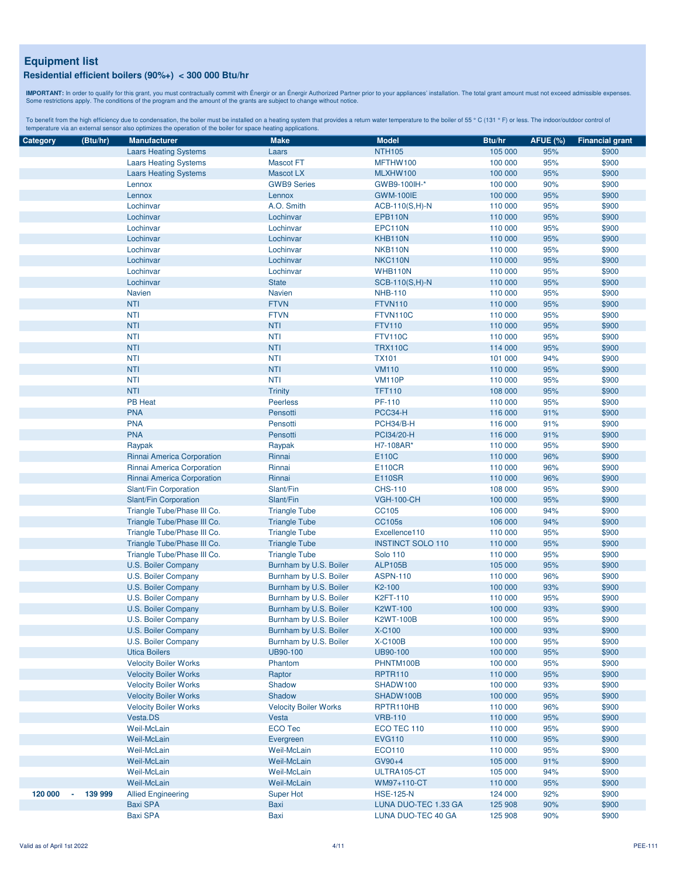**IMPORTANT:** In order to qualify for this grant, you must contractually commit with Énergir o an Énergir Authorized Partner prior to your appliances' installation. The total grant amount must not exceed admissible expenses

| Category | (Btu/hr) | <b>Manufacturer</b>          | <b>Make</b>                  | <b>Model</b>             | Btu/hr  | <b>AFUE (%)</b> | <b>Financial grant</b> |
|----------|----------|------------------------------|------------------------------|--------------------------|---------|-----------------|------------------------|
|          |          | <b>Laars Heating Systems</b> | Laars                        | <b>NTH105</b>            | 105 000 | 95%             | \$900                  |
|          |          | <b>Laars Heating Systems</b> | <b>Mascot FT</b>             | MFTHW100                 | 100 000 | 95%             | \$900                  |
|          |          | <b>Laars Heating Systems</b> | <b>Mascot LX</b>             | MLXHW100                 | 100 000 | 95%             | \$900                  |
|          |          | Lennox                       | <b>GWB9 Series</b>           | GWB9-100IH-*             | 100 000 | 90%             | \$900                  |
|          |          | Lennox                       | Lennox                       | <b>GWM-100IE</b>         | 100 000 | 95%             | \$900                  |
|          |          | Lochinvar                    | A.O. Smith                   | $ACB-110(S,H)-N$         | 110 000 | 95%             | \$900                  |
|          |          | Lochinvar                    | Lochinvar                    | <b>EPB110N</b>           | 110 000 | 95%             | \$900                  |
|          |          | Lochinvar                    | Lochinvar                    | EPC110N                  | 110 000 | 95%             | \$900                  |
|          |          | Lochinvar                    | Lochinvar                    | KHB110N                  | 110 000 | 95%             | \$900                  |
|          |          |                              |                              |                          |         |                 |                        |
|          |          | Lochinvar                    | Lochinvar                    | NKB110N                  | 110 000 | 95%             | \$900                  |
|          |          | Lochinvar                    | Lochinvar                    | NKC110N                  | 110 000 | 95%             | \$900                  |
|          |          | Lochinvar                    | Lochinvar                    | WHB110N                  | 110 000 | 95%             | \$900                  |
|          |          | Lochinvar                    | <b>State</b>                 | SCB-110(S,H)-N           | 110 000 | 95%             | \$900                  |
|          |          | <b>Navien</b>                | <b>Navien</b>                | <b>NHB-110</b>           | 110 000 | 95%             | \$900                  |
|          |          | <b>NTI</b>                   | <b>FTVN</b>                  | <b>FTVN110</b>           | 110 000 | 95%             | \$900                  |
|          |          | <b>NTI</b>                   | <b>FTVN</b>                  | FTVN110C                 | 110 000 | 95%             | \$900                  |
|          |          | <b>NTI</b>                   | <b>NTI</b>                   | <b>FTV110</b>            | 110 000 | 95%             | \$900                  |
|          |          | <b>NTI</b>                   | <b>NTI</b>                   | <b>FTV110C</b>           | 110 000 | 95%             | \$900                  |
|          |          | <b>NTI</b>                   | <b>NTI</b>                   | <b>TRX110C</b>           | 114 000 | 95%             | \$900                  |
|          |          | <b>NTI</b>                   | <b>NTI</b>                   | <b>TX101</b>             | 101 000 | 94%             | \$900                  |
|          |          | <b>NTI</b>                   | <b>NTI</b>                   | <b>VM110</b>             | 110 000 | 95%             | \$900                  |
|          |          | <b>NTI</b>                   | <b>NTI</b>                   | <b>VM110P</b>            | 110 000 | 95%             | \$900                  |
|          |          | <b>NTI</b>                   | <b>Trinity</b>               | <b>TFT110</b>            | 108 000 | 95%             | \$900                  |
|          |          | PB Heat                      | <b>Peerless</b>              | PF-110                   | 110 000 | 95%             | \$900                  |
|          |          | <b>PNA</b>                   | Pensotti                     | PCC34-H                  | 116 000 | 91%             | \$900                  |
|          |          | <b>PNA</b>                   | Pensotti                     | PCH34/B-H                | 116 000 | 91%             | \$900                  |
|          |          | <b>PNA</b>                   | Pensotti                     | PCI34/20-H               | 116 000 | 91%             | \$900                  |
|          |          | Raypak                       | Raypak                       | H7-108AR*                | 110 000 | 95%             | \$900                  |
|          |          | Rinnai America Corporation   | Rinnai                       | E110C                    | 110 000 | 96%             | \$900                  |
|          |          |                              |                              |                          |         |                 |                        |
|          |          | Rinnai America Corporation   | Rinnai                       | <b>E110CR</b>            | 110 000 | 96%             | \$900                  |
|          |          | Rinnai America Corporation   | Rinnai                       | <b>E110SR</b>            | 110 000 | 96%             | \$900                  |
|          |          | Slant/Fin Corporation        | Slant/Fin                    | <b>CHS-110</b>           | 108 000 | 95%             | \$900                  |
|          |          | Slant/Fin Corporation        | Slant/Fin                    | <b>VGH-100-CH</b>        | 100 000 | 95%             | \$900                  |
|          |          | Triangle Tube/Phase III Co.  | <b>Triangle Tube</b>         | CC105                    | 106 000 | 94%             | \$900                  |
|          |          | Triangle Tube/Phase III Co.  | <b>Triangle Tube</b>         | <b>CC105s</b>            | 106 000 | 94%             | \$900                  |
|          |          | Triangle Tube/Phase III Co.  | <b>Triangle Tube</b>         | Excellence110            | 110 000 | 95%             | \$900                  |
|          |          | Triangle Tube/Phase III Co.  | <b>Triangle Tube</b>         | <b>INSTINCT SOLO 110</b> | 110 000 | 95%             | \$900                  |
|          |          | Triangle Tube/Phase III Co.  | <b>Triangle Tube</b>         | <b>Solo 110</b>          | 110 000 | 95%             | \$900                  |
|          |          | U.S. Boiler Company          | Burnham by U.S. Boiler       | <b>ALP105B</b>           | 105 000 | 95%             | \$900                  |
|          |          | U.S. Boiler Company          | Burnham by U.S. Boiler       | <b>ASPN-110</b>          | 110 000 | 96%             | \$900                  |
|          |          | U.S. Boiler Company          | Burnham by U.S. Boiler       | K2-100                   | 100 000 | 93%             | \$900                  |
|          |          | U.S. Boiler Company          | Burnham by U.S. Boiler       | K2FT-110                 | 110 000 | 95%             | \$900                  |
|          |          | U.S. Boiler Company          | Burnham by U.S. Boiler       | <b>K2WT-100</b>          | 100 000 | 93%             | \$900                  |
|          |          | U.S. Boiler Company          | Burnham by U.S. Boiler       | <b>K2WT-100B</b>         | 100 000 | 95%             | \$900                  |
|          |          | U.S. Boiler Company          | Burnham by U.S. Boiler       | X-C100                   | 100 000 | 93%             | \$900                  |
|          |          | U.S. Boiler Company          | Burnham by U.S. Boiler       | <b>X-C100B</b>           | 100 000 | 95%             | \$900                  |
|          |          | <b>Utica Boilers</b>         | UB90-100                     | UB90-100                 | 100 000 | 95%             | \$900                  |
|          |          | <b>Velocity Boiler Works</b> | Phantom                      | PHNTM100B                | 100 000 | 95%             | \$900                  |
|          |          | <b>Velocity Boiler Works</b> | Raptor                       | <b>RPTR110</b>           | 110 000 | 95%             | \$900                  |
|          |          | <b>Velocity Boiler Works</b> | Shadow                       |                          | 100 000 |                 |                        |
|          |          | <b>Velocity Boiler Works</b> | Shadow                       | SHADW100<br>SHADW100B    | 100 000 | 93%<br>95%      | \$900<br>\$900         |
|          |          |                              |                              |                          |         |                 |                        |
|          |          | <b>Velocity Boiler Works</b> | <b>Velocity Boiler Works</b> | RPTR110HB                | 110 000 | 96%             | \$900                  |
|          |          | Vesta.DS                     | Vesta                        | <b>VRB-110</b>           | 110 000 | 95%             | \$900                  |
|          |          | Weil-McLain                  | <b>ECO Tec</b>               | ECO TEC 110              | 110 000 | 95%             | \$900                  |
|          |          | Weil-McLain                  | Evergreen                    | <b>EVG110</b>            | 110 000 | 95%             | \$900                  |
|          |          | Weil-McLain                  | Weil-McLain                  | ECO110                   | 110 000 | 95%             | \$900                  |
|          |          | Weil-McLain                  | <b>Weil-McLain</b>           | $GV90+4$                 | 105 000 | 91%             | \$900                  |
|          |          | Weil-McLain                  | Weil-McLain                  | ULTRA105-CT              | 105 000 | 94%             | \$900                  |
|          |          | Weil-McLain                  | Weil-McLain                  | WM97+110-CT              | 110 000 | 95%             | \$900                  |
| 120 000  | 139 999  | <b>Allied Engineering</b>    | <b>Super Hot</b>             | <b>HSE-125-N</b>         | 124 000 | 92%             | \$900                  |
|          |          | <b>Baxi SPA</b>              | Baxi                         | LUNA DUO-TEC 1.33 GA     | 125 908 | 90%             | \$900                  |
|          |          | <b>Baxi SPA</b>              | Baxi                         | LUNA DUO-TEC 40 GA       | 125 908 | 90%             | \$900                  |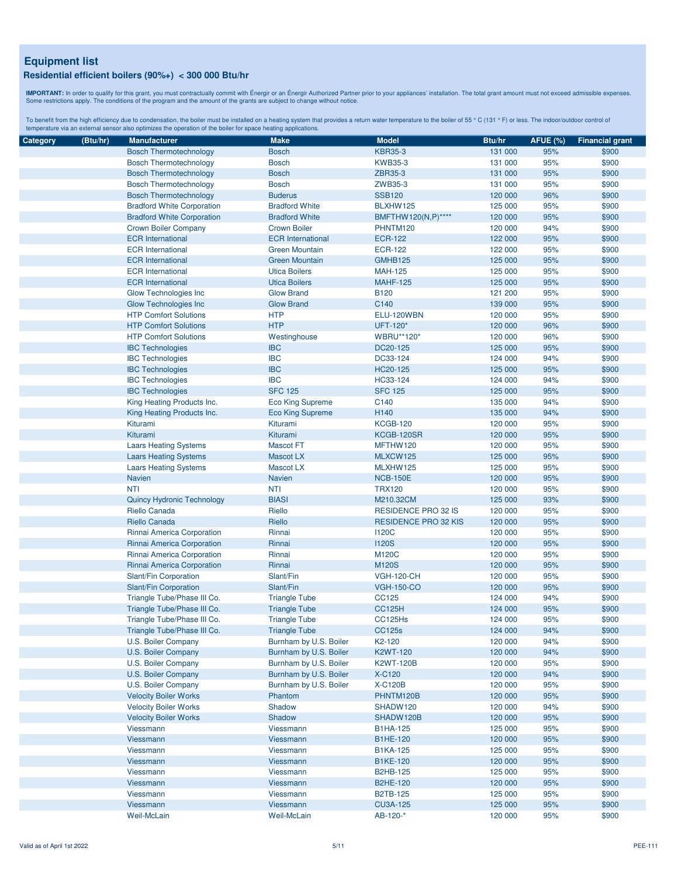**IMPORTANT:** In order to qualify for this grant, you must contractually commit with Énergir o an Énergir Authorized Partner prior to your appliances' installation. The total grant amount must not exceed admissible expenses

| Category | (Btu/hr) | <b>Manufacturer</b>               | <b>Make</b>              | <b>Model</b>                | Btu/hr             | <b>AFUE (%)</b> | <b>Financial grant</b> |
|----------|----------|-----------------------------------|--------------------------|-----------------------------|--------------------|-----------------|------------------------|
|          |          | <b>Bosch Thermotechnology</b>     | <b>Bosch</b>             | <b>KBR35-3</b>              | 131 000            | 95%             | \$900                  |
|          |          | <b>Bosch Thermotechnology</b>     | <b>Bosch</b>             | <b>KWB35-3</b>              | 131 000            | 95%             | \$900                  |
|          |          | <b>Bosch Thermotechnology</b>     | <b>Bosch</b>             | ZBR35-3                     | 131 000            | 95%             | \$900                  |
|          |          | <b>Bosch Thermotechnology</b>     | <b>Bosch</b>             | ZWB35-3                     | 131 000            | 95%             | \$900                  |
|          |          | <b>Bosch Thermotechnology</b>     | <b>Buderus</b>           | <b>SSB120</b>               | 120 000            | 96%             | \$900                  |
|          |          | <b>Bradford White Corporation</b> | <b>Bradford White</b>    | BLXHW125                    | 125 000            | 95%             | \$900                  |
|          |          | <b>Bradford White Corporation</b> | <b>Bradford White</b>    | BMFTHW120(N,P)****          | 120 000            | 95%             | \$900                  |
|          |          | <b>Crown Boiler Company</b>       | <b>Crown Boiler</b>      | PHNTM120                    | 120 000            | 94%             | \$900                  |
|          |          | <b>ECR</b> International          | <b>ECR</b> International | <b>ECR-122</b>              | 122 000            | 95%             | \$900                  |
|          |          | <b>ECR</b> International          | <b>Green Mountain</b>    | <b>ECR-122</b>              | 122 000            | 95%             | \$900                  |
|          |          | <b>ECR</b> International          | <b>Green Mountain</b>    | GMHB125                     | 125 000            | 95%             | \$900                  |
|          |          | <b>ECR</b> International          | <b>Utica Boilers</b>     | <b>MAH-125</b>              | 125 000            | 95%             | \$900                  |
|          |          | <b>ECR</b> International          | <b>Utica Boilers</b>     | <b>MAHF-125</b>             | 125 000            | 95%             | \$900                  |
|          |          | <b>Glow Technologies Inc.</b>     | <b>Glow Brand</b>        | <b>B120</b>                 | 121 200            | 95%             | \$900                  |
|          |          | <b>Glow Technologies Inc.</b>     | <b>Glow Brand</b>        | C140                        | 139 000            | 95%             | \$900                  |
|          |          | <b>HTP Comfort Solutions</b>      | <b>HTP</b>               | ELU-120WBN                  | 120 000            | 95%             | \$900                  |
|          |          | <b>HTP Comfort Solutions</b>      | <b>HTP</b>               | UFT-120*                    | 120 000            | 96%             | \$900                  |
|          |          | <b>HTP Comfort Solutions</b>      | Westinghouse             | <b>WBRU**120*</b>           | 120 000            | 96%             | \$900                  |
|          |          |                                   | <b>IBC</b>               | DC20-125                    |                    | 95%             | \$900                  |
|          |          | <b>IBC Technologies</b>           | <b>IBC</b>               | DC33-124                    | 125 000<br>124 000 | 94%             | \$900                  |
|          |          | <b>IBC Technologies</b>           | <b>IBC</b>               | HC20-125                    | 125 000            | 95%             | \$900                  |
|          |          | <b>IBC Technologies</b>           |                          |                             |                    |                 |                        |
|          |          | <b>IBC Technologies</b>           | <b>IBC</b>               | HC33-124                    | 124 000            | 94%             | \$900                  |
|          |          | <b>IBC Technologies</b>           | <b>SFC 125</b>           | <b>SFC 125</b>              | 125 000            | 95%             | \$900                  |
|          |          | King Heating Products Inc.        | <b>Eco King Supreme</b>  | C140                        | 135 000            | 94%             | \$900                  |
|          |          | King Heating Products Inc.        | <b>Eco King Supreme</b>  | H140                        | 135 000            | 94%             | \$900                  |
|          |          | Kiturami                          | Kiturami                 | <b>KCGB-120</b>             | 120 000            | 95%             | \$900                  |
|          |          | Kiturami                          | Kiturami                 | KCGB-120SR                  | 120 000            | 95%             | \$900                  |
|          |          | <b>Laars Heating Systems</b>      | <b>Mascot FT</b>         | MFTHW120                    | 120 000            | 95%             | \$900                  |
|          |          | <b>Laars Heating Systems</b>      | <b>Mascot LX</b>         | MLXCW125                    | 125 000            | 95%             | \$900                  |
|          |          | <b>Laars Heating Systems</b>      | <b>Mascot LX</b>         | MLXHW125                    | 125 000            | 95%             | \$900                  |
|          |          | Navien                            | <b>Navien</b>            | <b>NCB-150E</b>             | 120 000            | 95%             | \$900                  |
|          |          | <b>NTI</b>                        | <b>NTI</b>               | <b>TRX120</b>               | 120 000            | 95%             | \$900                  |
|          |          | <b>Quincy Hydronic Technology</b> | <b>BIASI</b>             | M210.32CM                   | 125 000            | 93%             | \$900                  |
|          |          | <b>Riello Canada</b>              | Riello                   | <b>RESIDENCE PRO 32 IS</b>  | 120 000            | 95%             | \$900                  |
|          |          | <b>Riello Canada</b>              | Riello                   | <b>RESIDENCE PRO 32 KIS</b> | 120 000            | 95%             | \$900                  |
|          |          | Rinnai America Corporation        | Rinnai                   | <b>I120C</b>                | 120 000            | 95%             | \$900                  |
|          |          | Rinnai America Corporation        | Rinnai                   | <b>I120S</b>                | 120 000            | 95%             | \$900                  |
|          |          | Rinnai America Corporation        | Rinnai                   | <b>M120C</b>                | 120 000            | 95%             | \$900                  |
|          |          | Rinnai America Corporation        | Rinnai                   | <b>M120S</b>                | 120 000            | 95%             | \$900                  |
|          |          | Slant/Fin Corporation             | Slant/Fin                | <b>VGH-120-CH</b>           | 120 000            | 95%             | \$900                  |
|          |          | Slant/Fin Corporation             | Slant/Fin                | <b>VGH-150-CO</b>           | 120 000            | 95%             | \$900                  |
|          |          | Triangle Tube/Phase III Co.       | <b>Triangle Tube</b>     | CC125                       | 124 000            | 94%             | \$900                  |
|          |          | Triangle Tube/Phase III Co.       | <b>Triangle Tube</b>     | <b>CC125H</b>               | 124 000            | 95%             | \$900                  |
|          |          | Triangle Tube/Phase III Co.       | <b>Triangle Tube</b>     | CC125Hs                     | 124 000            | 95%             | \$900                  |
|          |          | Triangle Tube/Phase III Co.       | <b>Triangle Tube</b>     | <b>CC125s</b>               | 124 000            | 94%             | \$900                  |
|          |          | U.S. Boiler Company               | Burnham by U.S. Boiler   | K <sub>2</sub> -120         | 120 000            | 94%             | \$900                  |
|          |          | U.S. Boiler Company               | Burnham by U.S. Boiler   | <b>K2WT-120</b>             | 120 000            | 94%             | \$900                  |
|          |          | U.S. Boiler Company               | Burnham by U.S. Boiler   | <b>K2WT-120B</b>            | 120 000            | 95%             | \$900                  |
|          |          | U.S. Boiler Company               | Burnham by U.S. Boiler   | <b>X-C120</b>               | 120 000            | 94%             | \$900                  |
|          |          | U.S. Boiler Company               | Burnham by U.S. Boiler   | <b>X-C120B</b>              | 120 000            | 95%             | \$900                  |
|          |          | <b>Velocity Boiler Works</b>      | Phantom                  | PHNTM120B                   | 120 000            | 95%             | \$900                  |
|          |          | <b>Velocity Boiler Works</b>      | Shadow                   | SHADW120                    | 120 000            | 94%             | \$900                  |
|          |          | <b>Velocity Boiler Works</b>      | Shadow                   | SHADW120B                   | 120 000            | 95%             | \$900                  |
|          |          | Viessmann                         | Viessmann                | <b>B1HA-125</b>             | 125 000            | 95%             | \$900                  |
|          |          | Viessmann                         | <b>Viessmann</b>         | B1HE-120                    | 120 000            | 95%             | \$900                  |
|          |          | Viessmann                         | Viessmann                | <b>B1KA-125</b>             | 125 000            | 95%             | \$900                  |
|          |          | Viessmann                         | Viessmann                | <b>B1KE-120</b>             | 120 000            | 95%             | \$900                  |
|          |          | Viessmann                         | <b>Viessmann</b>         | <b>B2HB-125</b>             | 125 000            | 95%             | \$900                  |
|          |          | Viessmann                         | Viessmann                | <b>B2HE-120</b>             | 120 000            | 95%             | \$900                  |
|          |          | Viessmann                         | Viessmann                | <b>B2TB-125</b>             | 125 000            | 95%             | \$900                  |
|          |          | Viessmann                         | Viessmann                | <b>CU3A-125</b>             | 125 000            | 95%             | \$900                  |
|          |          | Weil-McLain                       | Weil-McLain              | AB-120-*                    | 120 000            | 95%             | \$900                  |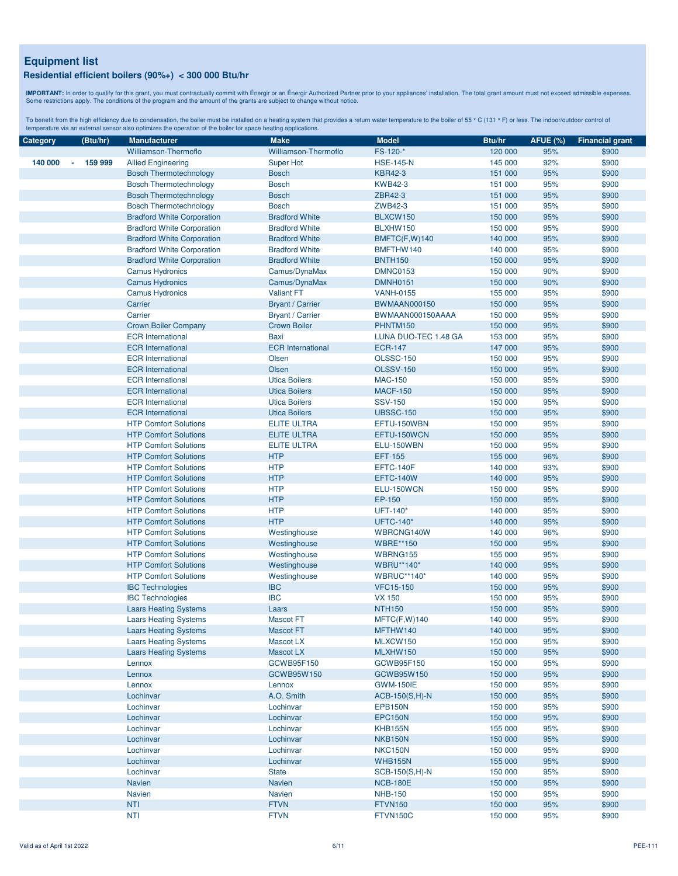**IMPORTANT:** In order to qualify for this grant, you must contractually commit with Énergir o an Énergir Authorized Partner prior to your appliances' installation. The total grant amount must not exceed admissible expenses

| Category | (Btu/hr)                  | <b>Manufacturer</b>               | <b>Make</b>              | <b>Model</b>                 | Btu/hr             | <b>AFUE (%)</b> | <b>Financial grant</b> |
|----------|---------------------------|-----------------------------------|--------------------------|------------------------------|--------------------|-----------------|------------------------|
|          |                           | Williamson-Thermoflo              | Williamson-Thermoflo     | FS-120-*                     | 120 000            | 95%             | \$900                  |
| 140 000  | 159 999<br>$\blacksquare$ | <b>Allied Engineering</b>         | <b>Super Hot</b>         | <b>HSE-145-N</b>             | 145 000            | 92%             | \$900                  |
|          |                           | <b>Bosch Thermotechnology</b>     | <b>Bosch</b>             | <b>KBR42-3</b>               | 151 000            | 95%             | \$900                  |
|          |                           | <b>Bosch Thermotechnology</b>     | <b>Bosch</b>             | <b>KWB42-3</b>               | 151 000            | 95%             | \$900                  |
|          |                           | <b>Bosch Thermotechnology</b>     | <b>Bosch</b>             | ZBR42-3                      | 151 000            | 95%             | \$900                  |
|          |                           | <b>Bosch Thermotechnology</b>     | <b>Bosch</b>             | ZWB42-3                      | 151 000            | 95%             | \$900                  |
|          |                           | <b>Bradford White Corporation</b> | <b>Bradford White</b>    | BLXCW150                     | 150 000            | 95%             | \$900                  |
|          |                           | <b>Bradford White Corporation</b> | <b>Bradford White</b>    | BLXHW150                     | 150 000            | 95%             | \$900                  |
|          |                           | <b>Bradford White Corporation</b> | <b>Bradford White</b>    | BMFTC(F,W)140                | 140 000            | 95%             | \$900                  |
|          |                           | <b>Bradford White Corporation</b> | <b>Bradford White</b>    | BMFTHW140                    | 140 000            | 95%             | \$900                  |
|          |                           | <b>Bradford White Corporation</b> | <b>Bradford White</b>    | <b>BNTH150</b>               | 150 000            | 95%             | \$900                  |
|          |                           | <b>Camus Hydronics</b>            | Camus/DynaMax            | <b>DMNC0153</b>              | 150 000            | 90%             | \$900                  |
|          |                           | <b>Camus Hydronics</b>            | Camus/DynaMax            | <b>DMNH0151</b>              | 150 000            | 90%             | \$900                  |
|          |                           | <b>Camus Hydronics</b>            | <b>Valiant FT</b>        | <b>VANH-0155</b>             | 155 000            | 95%             | \$900                  |
|          |                           | Carrier                           | <b>Bryant / Carrier</b>  | <b>BWMAAN000150</b>          | 150 000            | 95%             | \$900                  |
|          |                           | Carrier                           | <b>Bryant / Carrier</b>  | BWMAAN000150AAAA             | 150 000            | 95%             | \$900                  |
|          |                           | <b>Crown Boiler Company</b>       | <b>Crown Boiler</b>      | PHNTM150                     | 150 000            | 95%             | \$900                  |
|          |                           | <b>ECR</b> International          | Baxi                     | LUNA DUO-TEC 1.48 GA         | 153 000            | 95%             | \$900                  |
|          |                           | <b>ECR</b> International          | <b>ECR</b> International | <b>ECR-147</b>               | 147 000            | 95%             | \$900                  |
|          |                           | <b>ECR</b> International          | Olsen                    | <b>OLSSC-150</b>             | 150 000            | 95%             | \$900                  |
|          |                           | <b>ECR</b> International          | Olsen                    | <b>OLSSV-150</b>             | 150 000            | 95%             | \$900                  |
|          |                           | <b>ECR</b> International          | <b>Utica Boilers</b>     | <b>MAC-150</b>               |                    | 95%             | \$900                  |
|          |                           | <b>ECR</b> International          | <b>Utica Boilers</b>     | <b>MACF-150</b>              | 150 000<br>150 000 | 95%             | \$900                  |
|          |                           | <b>ECR</b> International          | <b>Utica Boilers</b>     | <b>SSV-150</b>               |                    | 95%             | \$900                  |
|          |                           | <b>ECR</b> International          | <b>Utica Boilers</b>     | <b>UBSSC-150</b>             | 150 000<br>150 000 | 95%             | \$900                  |
|          |                           | <b>HTP Comfort Solutions</b>      | <b>ELITE ULTRA</b>       | EFTU-150WBN                  | 150 000            | 95%             | \$900                  |
|          |                           | <b>HTP Comfort Solutions</b>      | <b>ELITE ULTRA</b>       | EFTU-150WCN                  |                    | 95%             |                        |
|          |                           | <b>HTP Comfort Solutions</b>      | <b>ELITE ULTRA</b>       |                              | 150 000<br>150 000 | 95%             | \$900<br>\$900         |
|          |                           | <b>HTP Comfort Solutions</b>      | <b>HTP</b>               | ELU-150WBN<br><b>EFT-155</b> | 155 000            | 96%             | \$900                  |
|          |                           | <b>HTP Comfort Solutions</b>      | <b>HTP</b>               | EFTC-140F                    | 140 000            | 93%             | \$900                  |
|          |                           | <b>HTP Comfort Solutions</b>      | <b>HTP</b>               | <b>EFTC-140W</b>             |                    | 95%             |                        |
|          |                           |                                   | <b>HTP</b>               | ELU-150WCN                   | 140 000<br>150 000 | 95%             | \$900                  |
|          |                           | <b>HTP Comfort Solutions</b>      | <b>HTP</b>               |                              |                    |                 | \$900                  |
|          |                           | <b>HTP Comfort Solutions</b>      | <b>HTP</b>               | EP-150<br>UFT-140*           | 150 000<br>140 000 | 95%<br>95%      | \$900                  |
|          |                           | <b>HTP Comfort Solutions</b>      |                          |                              |                    |                 | \$900                  |
|          |                           | <b>HTP Comfort Solutions</b>      | <b>HTP</b>               | <b>UFTC-140*</b>             | 140 000            | 95%             | \$900                  |
|          |                           | <b>HTP Comfort Solutions</b>      | Westinghouse             | WBRCNG140W                   | 140 000            | 96%             | \$900                  |
|          |                           | <b>HTP Comfort Solutions</b>      | Westinghouse             | <b>WBRE**150</b>             | 150 000            | 95%             | \$900                  |
|          |                           | <b>HTP Comfort Solutions</b>      | Westinghouse             | WBRNG155                     | 155 000            | 95%             | \$900                  |
|          |                           | <b>HTP Comfort Solutions</b>      | Westinghouse             | <b>WBRU**140*</b>            | 140 000            | 95%             | \$900                  |
|          |                           | <b>HTP Comfort Solutions</b>      | Westinghouse             | <b>WBRUC**140*</b>           | 140 000            | 95%             | \$900                  |
|          |                           | <b>IBC Technologies</b>           | <b>IBC</b>               | <b>VFC15-150</b>             | 150 000            | 95%             | \$900                  |
|          |                           | <b>IBC Technologies</b>           | <b>IBC</b>               | <b>VX 150</b>                | 150 000            | 95%             | \$900                  |
|          |                           | <b>Laars Heating Systems</b>      | Laars                    | <b>NTH150</b>                | 150 000            | 95%             | \$900                  |
|          |                           | <b>Laars Heating Systems</b>      | <b>Mascot FT</b>         | MFTC(F,W)140                 | 140 000            | 95%             | \$900                  |
|          |                           | <b>Laars Heating Systems</b>      | Mascot FT                | MFTHW140                     | 140 000            | 95%             | \$900                  |
|          |                           | <b>Laars Heating Systems</b>      | Mascot LX                | MLXCW150                     | 150 000            | 95%             | \$900                  |
|          |                           | <b>Laars Heating Systems</b>      | Mascot LX                | MLXHW150                     | 150 000            | 95%             | \$900                  |
|          |                           | Lennox                            | GCWB95F150               | GCWB95F150                   | 150 000            | 95%             | \$900                  |
|          |                           | Lennox                            | GCWB95W150               | GCWB95W150                   | 150 000            | 95%             | \$900                  |
|          |                           | Lennox                            | Lennox                   | <b>GWM-150IE</b>             | 150 000            | 95%             | \$900                  |
|          |                           | Lochinvar                         | A.O. Smith               | $ACB-150(S,H)-N$             | 150 000            | 95%             | \$900                  |
|          |                           | Lochinvar                         | Lochinvar                | <b>EPB150N</b>               | 150 000            | 95%             | \$900                  |
|          |                           | Lochinvar                         | Lochinvar                | <b>EPC150N</b>               | 150 000            | 95%             | \$900                  |
|          |                           | Lochinvar                         | Lochinvar                | <b>KHB155N</b>               | 155 000            | 95%             | \$900                  |
|          |                           | Lochinvar                         | Lochinvar                | NKB150N                      | 150 000            | 95%             | \$900                  |
|          |                           | Lochinvar                         | Lochinvar                | <b>NKC150N</b>               | 150 000            | 95%             | \$900                  |
|          |                           | Lochinvar                         | Lochinvar                | <b>WHB155N</b>               | 155 000            | 95%             | \$900                  |
|          |                           | Lochinvar                         | <b>State</b>             | $SCB-150(S,H)-N$             | 150 000            | 95%             | \$900                  |
|          |                           | <b>Navien</b>                     | Navien                   | <b>NCB-180E</b>              | 150 000            | 95%             | \$900                  |
|          |                           | <b>Navien</b>                     | <b>Navien</b>            | <b>NHB-150</b>               | 150 000            | 95%             | \$900                  |
|          |                           | NTI                               | <b>FTVN</b>              | <b>FTVN150</b>               | 150 000            | 95%             | \$900                  |
|          |                           | <b>NTI</b>                        | <b>FTVN</b>              | FTVN150C                     | 150 000            | 95%             | \$900                  |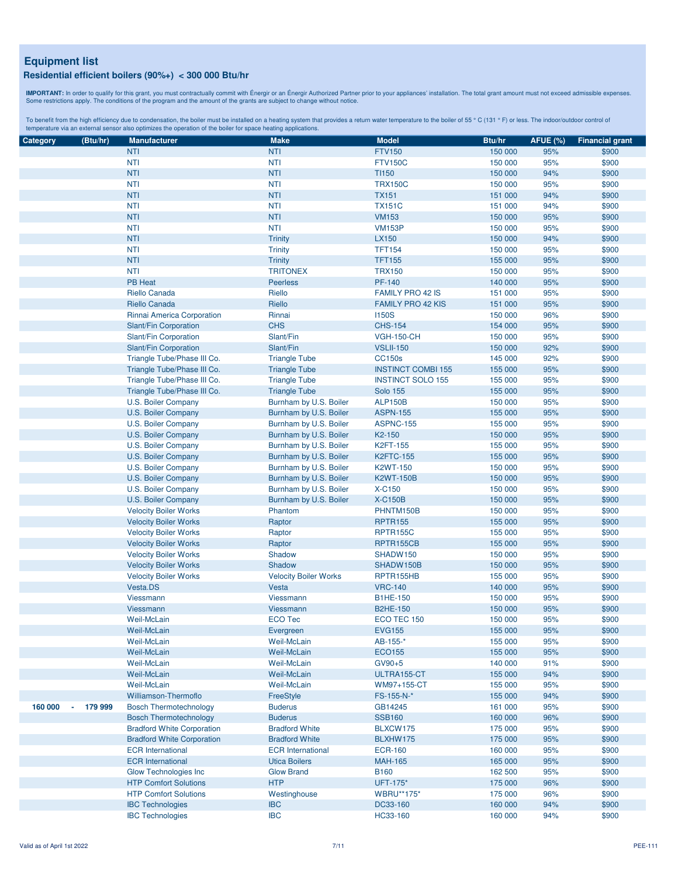**IMPORTANT:** In order to qualify for this grant, you must contractually commit with Énergir o an Énergir Authorized Partner prior to your appliances' installation. The total grant amount must not exceed admissible expenses

| Category | (Btu/hr)     | <b>Manufacturer</b>               | <b>Make</b>                  | <b>Model</b>              | Btu/hr  | <b>AFUE (%)</b> | <b>Financial grant</b> |
|----------|--------------|-----------------------------------|------------------------------|---------------------------|---------|-----------------|------------------------|
|          |              | <b>NTI</b>                        | <b>NTI</b>                   | <b>FTV150</b>             | 150 000 | 95%             | \$900                  |
|          |              | <b>NTI</b>                        | <b>NTI</b>                   | <b>FTV150C</b>            | 150 000 | 95%             | \$900                  |
|          |              | <b>NTI</b>                        | <b>NTI</b>                   | <b>TI150</b>              | 150 000 | 94%             | \$900                  |
|          |              | <b>NTI</b>                        | <b>NTI</b>                   | <b>TRX150C</b>            | 150 000 | 95%             | \$900                  |
|          |              | <b>NTI</b>                        | <b>NTI</b>                   | <b>TX151</b>              | 151 000 | 94%             | \$900                  |
|          |              |                                   |                              |                           |         |                 |                        |
|          |              | <b>NTI</b>                        | <b>NTI</b>                   | <b>TX151C</b>             | 151 000 | 94%             | \$900                  |
|          |              | <b>NTI</b>                        | <b>NTI</b>                   | <b>VM153</b>              | 150 000 | 95%             | \$900                  |
|          |              | <b>NTI</b>                        | <b>NTI</b>                   | <b>VM153P</b>             | 150 000 | 95%             | \$900                  |
|          |              | <b>NTI</b>                        | <b>Trinity</b>               | LX150                     | 150 000 | 94%             | \$900                  |
|          |              | <b>NTI</b>                        | <b>Trinity</b>               | <b>TFT154</b>             | 150 000 | 95%             | \$900                  |
|          |              | <b>NTI</b>                        | <b>Trinity</b>               | <b>TFT155</b>             | 155 000 | 95%             | \$900                  |
|          |              | <b>NTI</b>                        | <b>TRITONEX</b>              | <b>TRX150</b>             | 150 000 | 95%             | \$900                  |
|          |              | <b>PB Heat</b>                    | <b>Peerless</b>              | PF-140                    | 140 000 | 95%             | \$900                  |
|          |              | Riello Canada                     | Riello                       | <b>FAMILY PRO 42 IS</b>   | 151 000 | 95%             | \$900                  |
|          |              | Riello Canada                     | Riello                       | <b>FAMILY PRO 42 KIS</b>  | 151 000 | 95%             | \$900                  |
|          |              | Rinnai America Corporation        | Rinnai                       | <b>I150S</b>              | 150 000 | 96%             | \$900                  |
|          |              | Slant/Fin Corporation             | <b>CHS</b>                   | <b>CHS-154</b>            | 154 000 | 95%             | \$900                  |
|          |              | Slant/Fin Corporation             | Slant/Fin                    | <b>VGH-150-CH</b>         | 150 000 | 95%             | \$900                  |
|          |              | Slant/Fin Corporation             | Slant/Fin                    | <b>VSLII-150</b>          | 150 000 | 92%             | \$900                  |
|          |              | Triangle Tube/Phase III Co.       | <b>Triangle Tube</b>         | <b>CC150s</b>             | 145 000 | 92%             | \$900                  |
|          |              | Triangle Tube/Phase III Co.       | <b>Triangle Tube</b>         | <b>INSTINCT COMBI 155</b> | 155 000 | 95%             | \$900                  |
|          |              | Triangle Tube/Phase III Co.       | <b>Triangle Tube</b>         | <b>INSTINCT SOLO 155</b>  | 155 000 | 95%             | \$900                  |
|          |              | Triangle Tube/Phase III Co.       | <b>Triangle Tube</b>         | <b>Solo 155</b>           | 155 000 | 95%             | \$900                  |
|          |              | U.S. Boiler Company               | Burnham by U.S. Boiler       | <b>ALP150B</b>            | 150 000 | 95%             | \$900                  |
|          |              | U.S. Boiler Company               | Burnham by U.S. Boiler       | <b>ASPN-155</b>           | 155 000 | 95%             | \$900                  |
|          |              | U.S. Boiler Company               | Burnham by U.S. Boiler       | <b>ASPNC-155</b>          | 155 000 | 95%             | \$900                  |
|          |              | U.S. Boiler Company               | Burnham by U.S. Boiler       | K2-150                    | 150 000 | 95%             | \$900                  |
|          |              | U.S. Boiler Company               | Burnham by U.S. Boiler       | K2FT-155                  | 155 000 | 95%             | \$900                  |
|          |              |                                   |                              | <b>K2FTC-155</b>          | 155 000 | 95%             | \$900                  |
|          |              | U.S. Boiler Company               | Burnham by U.S. Boiler       | <b>K2WT-150</b>           |         | 95%             | \$900                  |
|          |              | U.S. Boiler Company               | Burnham by U.S. Boiler       |                           | 150 000 |                 |                        |
|          |              | U.S. Boiler Company               | Burnham by U.S. Boiler       | <b>K2WT-150B</b>          | 150 000 | 95%             | \$900                  |
|          |              | U.S. Boiler Company               | Burnham by U.S. Boiler       | X-C150                    | 150 000 | 95%             | \$900                  |
|          |              | U.S. Boiler Company               | Burnham by U.S. Boiler       | <b>X-C150B</b>            | 150 000 | 95%             | \$900                  |
|          |              | <b>Velocity Boiler Works</b>      | Phantom                      | PHNTM150B                 | 150 000 | 95%             | \$900                  |
|          |              | <b>Velocity Boiler Works</b>      | Raptor                       | <b>RPTR155</b>            | 155 000 | 95%             | \$900                  |
|          |              | <b>Velocity Boiler Works</b>      | Raptor                       | <b>RPTR155C</b>           | 155 000 | 95%             | \$900                  |
|          |              | <b>Velocity Boiler Works</b>      | Raptor                       | RPTR155CB                 | 155 000 | 95%             | \$900                  |
|          |              | <b>Velocity Boiler Works</b>      | Shadow                       | SHADW150                  | 150 000 | 95%             | \$900                  |
|          |              | <b>Velocity Boiler Works</b>      | Shadow                       | SHADW150B                 | 150 000 | 95%             | \$900                  |
|          |              | <b>Velocity Boiler Works</b>      | <b>Velocity Boiler Works</b> | RPTR155HB                 | 155 000 | 95%             | \$900                  |
|          |              | Vesta.DS                          | Vesta                        | <b>VRC-140</b>            | 140 000 | 95%             | \$900                  |
|          |              | Viessmann                         | Viessmann                    | <b>B1HE-150</b>           | 150 000 | 95%             | \$900                  |
|          |              | Viessmann                         | Viessmann                    | <b>B2HE-150</b>           | 150 000 | 95%             | \$900                  |
|          |              | Weil-McLain                       | <b>ECO Tec</b>               | ECO TEC 150               | 150 000 | 95%             | \$900                  |
|          |              | Weil-McLain                       | Evergreen                    | <b>EVG155</b>             | 155 000 | 95%             | \$900                  |
|          |              | Weil-McLain                       | Weil-McLain                  | AB-155-*                  | 155 000 | 95%             | \$900                  |
|          |              | Weil-McLain                       | <b>Weil-McLain</b>           | <b>ECO155</b>             | 155 000 | 95%             | \$900                  |
|          |              | Weil-McLain                       | Weil-McLain                  | $GV90+5$                  | 140 000 | 91%             | \$900                  |
|          |              | Weil-McLain                       | Weil-McLain                  | ULTRA155-CT               | 155 000 | 94%             | \$900                  |
|          |              | Weil-McLain                       | Weil-McLain                  | WM97+155-CT               | 155 000 | 95%             | \$900                  |
|          |              | Williamson-Thermoflo              | FreeStyle                    | FS-155-N-*                | 155 000 | 94%             | \$900                  |
| 160 000  | 179 999<br>÷ | <b>Bosch Thermotechnology</b>     | <b>Buderus</b>               | GB14245                   | 161 000 | 95%             | \$900                  |
|          |              | <b>Bosch Thermotechnology</b>     | <b>Buderus</b>               | <b>SSB160</b>             | 160 000 | 96%             | \$900                  |
|          |              | <b>Bradford White Corporation</b> | <b>Bradford White</b>        | BLXCW175                  | 175 000 | 95%             | \$900                  |
|          |              | <b>Bradford White Corporation</b> | <b>Bradford White</b>        | BLXHW175                  | 175 000 | 95%             | \$900                  |
|          |              | <b>ECR</b> International          | <b>ECR</b> International     | <b>ECR-160</b>            | 160 000 | 95%             | \$900                  |
|          |              | <b>ECR</b> International          | <b>Utica Boilers</b>         | <b>MAH-165</b>            | 165 000 | 95%             | \$900                  |
|          |              | <b>Glow Technologies Inc.</b>     | <b>Glow Brand</b>            | <b>B160</b>               | 162 500 | 95%             | \$900                  |
|          |              | <b>HTP Comfort Solutions</b>      | <b>HTP</b>                   | UFT-175*                  | 175 000 | 96%             | \$900                  |
|          |              |                                   |                              |                           |         |                 |                        |
|          |              | <b>HTP Comfort Solutions</b>      | Westinghouse                 | <b>WBRU**175*</b>         | 175 000 | 96%             | \$900                  |
|          |              | <b>IBC Technologies</b>           | <b>IBC</b>                   | DC33-160                  | 160 000 | 94%             | \$900                  |
|          |              | <b>IBC Technologies</b>           | <b>IBC</b>                   | HC33-160                  | 160 000 | 94%             | \$900                  |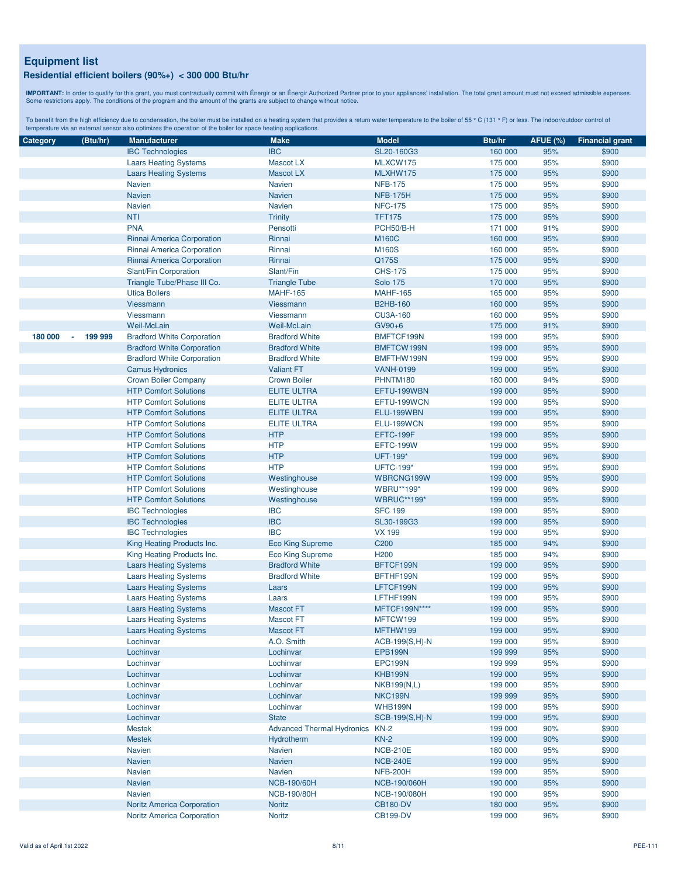**IMPORTANT:** In order to qualify for this grant, you must contractually commit with Énergir o an Énergir Authorized Partner prior to your appliances' installation. The total grant amount must not exceed admissible expenses

| Category | (Btu/hr)      | <b>Manufacturer</b>               | <b>Make</b>                       | <b>Model</b>       | Btu/hr  | <b>AFUE (%)</b> | <b>Financial grant</b> |
|----------|---------------|-----------------------------------|-----------------------------------|--------------------|---------|-----------------|------------------------|
|          |               | <b>IBC Technologies</b>           | <b>IBC</b>                        | SL20-160G3         | 160 000 | 95%             | \$900                  |
|          |               | <b>Laars Heating Systems</b>      | Mascot LX                         | MLXCW175           | 175 000 | 95%             | \$900                  |
|          |               | <b>Laars Heating Systems</b>      | <b>Mascot LX</b>                  | MLXHW175           | 175 000 | 95%             | \$900                  |
|          |               | <b>Navien</b>                     | <b>Navien</b>                     | <b>NFB-175</b>     | 175 000 | 95%             | \$900                  |
|          |               | <b>Navien</b>                     | <b>Navien</b>                     | <b>NFB-175H</b>    | 175 000 | 95%             | \$900                  |
|          |               | <b>Navien</b>                     | <b>Navien</b>                     | <b>NFC-175</b>     | 175 000 | 95%             | \$900                  |
|          |               | <b>NTI</b>                        | <b>Trinity</b>                    | <b>TFT175</b>      | 175 000 | 95%             | \$900                  |
|          |               | <b>PNA</b>                        | Pensotti                          | PCH50/B-H          | 171 000 | 91%             | \$900                  |
|          |               | Rinnai America Corporation        | Rinnai                            | <b>M160C</b>       | 160 000 | 95%             | \$900                  |
|          |               | Rinnai America Corporation        | Rinnai                            | M160S              |         | 95%             | \$900                  |
|          |               |                                   |                                   |                    | 160 000 |                 |                        |
|          |               | Rinnai America Corporation        | Rinnai                            | Q175S              | 175 000 | 95%             | \$900                  |
|          |               | Slant/Fin Corporation             | Slant/Fin                         | <b>CHS-175</b>     | 175 000 | 95%             | \$900                  |
|          |               | Triangle Tube/Phase III Co.       | <b>Triangle Tube</b>              | <b>Solo 175</b>    | 170 000 | 95%             | \$900                  |
|          |               | <b>Utica Boilers</b>              | <b>MAHF-165</b>                   | <b>MAHF-165</b>    | 165 000 | 95%             | \$900                  |
|          |               | Viessmann                         | Viessmann                         | <b>B2HB-160</b>    | 160 000 | 95%             | \$900                  |
|          |               | Viessmann                         | Viessmann                         | <b>CU3A-160</b>    | 160 000 | 95%             | \$900                  |
|          |               | Weil-McLain                       | <b>Weil-McLain</b>                | GV90+6             | 175 000 | 91%             | \$900                  |
| 180 000  | 199 999<br>×, | <b>Bradford White Corporation</b> | <b>Bradford White</b>             | BMFTCF199N         | 199 000 | 95%             | \$900                  |
|          |               | <b>Bradford White Corporation</b> | <b>Bradford White</b>             | BMFTCW199N         | 199 000 | 95%             | \$900                  |
|          |               | <b>Bradford White Corporation</b> | <b>Bradford White</b>             | BMFTHW199N         | 199 000 | 95%             | \$900                  |
|          |               | <b>Camus Hydronics</b>            | <b>Valiant FT</b>                 | <b>VANH-0199</b>   | 199 000 | 95%             | \$900                  |
|          |               | <b>Crown Boiler Company</b>       | <b>Crown Boiler</b>               | PHNTM180           | 180 000 | 94%             | \$900                  |
|          |               | <b>HTP Comfort Solutions</b>      | <b>ELITE ULTRA</b>                | EFTU-199WBN        | 199 000 | 95%             | \$900                  |
|          |               | <b>HTP Comfort Solutions</b>      | <b>ELITE ULTRA</b>                | EFTU-199WCN        | 199 000 | 95%             | \$900                  |
|          |               | <b>HTP Comfort Solutions</b>      | <b>ELITE ULTRA</b>                | ELU-199WBN         | 199 000 | 95%             | \$900                  |
|          |               | <b>HTP Comfort Solutions</b>      | <b>ELITE ULTRA</b>                | ELU-199WCN         | 199 000 | 95%             | \$900                  |
|          |               | <b>HTP Comfort Solutions</b>      | <b>HTP</b>                        | EFTC-199F          | 199 000 | 95%             | \$900                  |
|          |               | <b>HTP Comfort Solutions</b>      | <b>HTP</b>                        | EFTC-199W          | 199 000 | 95%             | \$900                  |
|          |               | <b>HTP Comfort Solutions</b>      | <b>HTP</b>                        | UFT-199*           | 199 000 | 96%             | \$900                  |
|          |               | <b>HTP Comfort Solutions</b>      | <b>HTP</b>                        | <b>UFTC-199*</b>   | 199 000 | 95%             | \$900                  |
|          |               | <b>HTP Comfort Solutions</b>      |                                   | WBRCNG199W         | 199 000 | 95%             | \$900                  |
|          |               |                                   | Westinghouse                      |                    |         | 96%             |                        |
|          |               | <b>HTP Comfort Solutions</b>      | Westinghouse                      | WBRU**199*         | 199 000 |                 | \$900                  |
|          |               | <b>HTP Comfort Solutions</b>      | Westinghouse                      | <b>WBRUC**199*</b> | 199 000 | 95%             | \$900                  |
|          |               | <b>IBC Technologies</b>           | <b>IBC</b>                        | <b>SFC 199</b>     | 199 000 | 95%             | \$900                  |
|          |               | <b>IBC Technologies</b>           | <b>IBC</b>                        | SL30-199G3         | 199 000 | 95%             | \$900                  |
|          |               | <b>IBC Technologies</b>           | <b>IBC</b>                        | <b>VX 199</b>      | 199 000 | 95%             | \$900                  |
|          |               | King Heating Products Inc.        | <b>Eco King Supreme</b>           | C200               | 185 000 | 94%             | \$900                  |
|          |               | King Heating Products Inc.        | <b>Eco King Supreme</b>           | H <sub>200</sub>   | 185 000 | 94%             | \$900                  |
|          |               | <b>Laars Heating Systems</b>      | <b>Bradford White</b>             | BFTCF199N          | 199 000 | 95%             | \$900                  |
|          |               | <b>Laars Heating Systems</b>      | <b>Bradford White</b>             | BFTHF199N          | 199 000 | 95%             | \$900                  |
|          |               | <b>Laars Heating Systems</b>      | Laars                             | LFTCF199N          | 199 000 | 95%             | \$900                  |
|          |               | <b>Laars Heating Systems</b>      | Laars                             | LFTHF199N          | 199 000 | 95%             | \$900                  |
|          |               | <b>Laars Heating Systems</b>      | <b>Mascot FT</b>                  | MFTCF199N****      | 199 000 | 95%             | \$900                  |
|          |               | <b>Laars Heating Systems</b>      | <b>Mascot FT</b>                  | MFTCW199           | 199 000 | 95%             | \$900                  |
|          |               | <b>Laars Heating Systems</b>      | Mascot FT                         | MFTHW199           | 199 000 | 95%             | \$900                  |
|          |               | Lochinvar                         | A.O. Smith                        | $ACB-199(S,H)-N$   | 199 000 | 95%             | \$900                  |
|          |               | Lochinvar                         | Lochinvar                         | <b>EPB199N</b>     | 199 999 | 95%             | \$900                  |
|          |               | Lochinvar                         | Lochinvar                         | EPC199N            | 199 999 | 95%             | \$900                  |
|          |               | Lochinvar                         | Lochinvar                         | KHB199N            | 199 000 | 95%             | \$900                  |
|          |               | Lochinvar                         | Lochinvar                         | <b>NKB199(N,L)</b> | 199 000 | 95%             | \$900                  |
|          |               | Lochinvar                         | Lochinvar                         | NKC199N            | 199 999 | 95%             | \$900                  |
|          |               | Lochinvar                         | Lochinvar                         | <b>WHB199N</b>     | 199 000 | 95%             | \$900                  |
|          |               | Lochinvar                         | <b>State</b>                      | SCB-199(S,H)-N     | 199 000 | 95%             | \$900                  |
|          |               | <b>Mestek</b>                     | <b>Advanced Thermal Hydronics</b> | $KN-2$             | 199 000 | 90%             | \$900                  |
|          |               |                                   |                                   |                    |         |                 |                        |
|          |               | <b>Mestek</b>                     | Hydrotherm                        | $KN-2$             | 199 000 | 90%             | \$900                  |
|          |               | <b>Navien</b>                     | <b>Navien</b>                     | <b>NCB-210E</b>    | 180 000 | 95%             | \$900                  |
|          |               | <b>Navien</b>                     | <b>Navien</b>                     | <b>NCB-240E</b>    | 199 000 | 95%             | \$900                  |
|          |               | <b>Navien</b>                     | Navien                            | <b>NFB-200H</b>    | 199 000 | 95%             | \$900                  |
|          |               | <b>Navien</b>                     | <b>NCB-190/60H</b>                | NCB-190/060H       | 190 000 | 95%             | \$900                  |
|          |               | <b>Navien</b>                     | <b>NCB-190/80H</b>                | NCB-190/080H       | 190 000 | 95%             | \$900                  |
|          |               | <b>Noritz America Corporation</b> | <b>Noritz</b>                     | <b>CB180-DV</b>    | 180 000 | 95%             | \$900                  |
|          |               | <b>Noritz America Corporation</b> | <b>Noritz</b>                     | <b>CB199-DV</b>    | 199 000 | 96%             | \$900                  |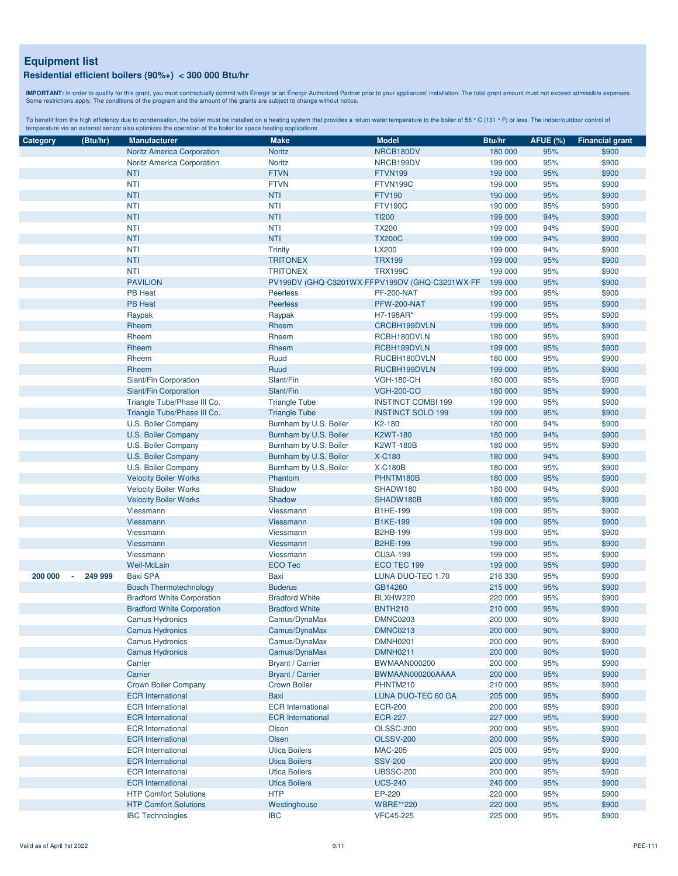**IMPORTANT:** In order to qualify for this grant, you must contractually commit with Énergir o an Énergir Authorized Partner prior to your appliances' installation. The total grant amount must not exceed admissible expenses

| Category | (Btu/hr)                  | <b>Manufacturer</b>               | <b>Make</b>              | <b>Model</b>                                    | Btu/hr  | <b>AFUE (%)</b> | <b>Financial grant</b> |
|----------|---------------------------|-----------------------------------|--------------------------|-------------------------------------------------|---------|-----------------|------------------------|
|          |                           | <b>Noritz America Corporation</b> | <b>Noritz</b>            | NRCB180DV                                       | 180 000 | 95%             | \$900                  |
|          |                           | Noritz America Corporation        | <b>Noritz</b>            | NRCB199DV                                       | 199 000 | 95%             | \$900                  |
|          |                           | <b>NTI</b>                        | <b>FTVN</b>              | <b>FTVN199</b>                                  | 199 000 | 95%             | \$900                  |
|          |                           | <b>NTI</b>                        | <b>FTVN</b>              | FTVN199C                                        | 199 000 | 95%             | \$900                  |
|          |                           | <b>NTI</b>                        | <b>NTI</b>               | <b>FTV190</b>                                   | 190 000 | 95%             | \$900                  |
|          |                           | <b>NTI</b>                        | <b>NTI</b>               | <b>FTV190C</b>                                  | 190 000 | 95%             | \$900                  |
|          |                           | <b>NTI</b>                        | <b>NTI</b>               | <b>TI200</b>                                    | 199 000 | 94%             | \$900                  |
|          |                           | <b>NTI</b>                        | <b>NTI</b>               | <b>TX200</b>                                    | 199 000 | 94%             | \$900                  |
|          |                           | <b>NTI</b>                        | <b>NTI</b>               | <b>TX200C</b>                                   | 199 000 | 94%             | \$900                  |
|          |                           | <b>NTI</b>                        | <b>Trinity</b>           | LX200                                           | 199 000 | 94%             | \$900                  |
|          |                           | <b>NTI</b>                        | <b>TRITONEX</b>          | <b>TRX199</b>                                   | 199 000 | 95%             | \$900                  |
|          |                           | <b>NTI</b>                        | <b>TRITONEX</b>          | <b>TRX199C</b>                                  | 199 000 | 95%             | \$900                  |
|          |                           | <b>PAVILION</b>                   |                          | PV199DV (GHQ-C3201WX-FF PV199DV (GHQ-C3201WX-FF | 199 000 | 95%             | \$900                  |
|          |                           | <b>PB Heat</b>                    | <b>Peerless</b>          | <b>PF-200-NAT</b>                               | 199 000 | 95%             | \$900                  |
|          |                           | <b>PB Heat</b>                    | <b>Peerless</b>          | <b>PFW-200-NAT</b>                              | 199 000 | 95%             | \$900                  |
|          |                           | Raypak                            | H7-198AR*                | 199 000                                         | 95%     | \$900           |                        |
|          | Raypak<br>Rheem           | Rheem                             | CRCBH199DVLN             | 199 000                                         | 95%     | \$900           |                        |
|          |                           |                                   |                          |                                                 |         |                 |                        |
|          | Rheem                     | Rheem                             | RCBH180DVLN              | 180 000                                         | 95%     | \$900           |                        |
|          |                           | Rheem                             | Rheem                    | RCBH199DVLN                                     | 199 000 | 95%             | \$900                  |
|          |                           | Rheem                             | Ruud                     | RUCBH180DVLN                                    | 180 000 | 95%             | \$900                  |
|          |                           | Rheem                             | Ruud                     | RUCBH199DVLN                                    | 199 000 | 95%             | \$900                  |
|          |                           | Slant/Fin Corporation             | Slant/Fin                | <b>VGH-180-CH</b>                               | 180 000 | 95%             | \$900                  |
|          |                           | Slant/Fin Corporation             | Slant/Fin                | <b>VGH-200-CO</b>                               | 180 000 | 95%             | \$900                  |
|          |                           | Triangle Tube/Phase III Co.       | <b>Triangle Tube</b>     | <b>INSTINCT COMBI 199</b>                       | 199 000 | 95%             | \$900                  |
|          |                           | Triangle Tube/Phase III Co.       | <b>Triangle Tube</b>     | <b>INSTINCT SOLO 199</b>                        | 199 000 | 95%             | \$900                  |
|          |                           | U.S. Boiler Company               | Burnham by U.S. Boiler   | K2-180                                          | 180 000 | 94%             | \$900                  |
|          |                           | U.S. Boiler Company               | Burnham by U.S. Boiler   | <b>K2WT-180</b>                                 | 180 000 | 94%             | \$900                  |
|          |                           | U.S. Boiler Company               | Burnham by U.S. Boiler   | <b>K2WT-180B</b>                                | 180 000 | 95%             | \$900                  |
|          |                           | U.S. Boiler Company               | Burnham by U.S. Boiler   | X-C180                                          | 180 000 | 94%             | \$900                  |
|          |                           | U.S. Boiler Company               | Burnham by U.S. Boiler   | <b>X-C180B</b>                                  | 180 000 | 95%             | \$900                  |
|          |                           | <b>Velocity Boiler Works</b>      | Phantom                  | PHNTM180B                                       | 180 000 | 95%             | \$900                  |
|          |                           | <b>Velocity Boiler Works</b>      | Shadow                   | SHADW180                                        | 180 000 | 94%             | \$900                  |
|          |                           | <b>Velocity Boiler Works</b>      | Shadow                   | SHADW180B                                       | 180 000 | 95%             | \$900                  |
|          |                           | Viessmann                         | Viessmann                | B1HE-199                                        | 199 000 | 95%             | \$900                  |
|          |                           | Viessmann                         | Viessmann                | <b>B1KE-199</b>                                 | 199 000 | 95%             | \$900                  |
|          |                           | Viessmann                         | Viessmann                | <b>B2HB-199</b>                                 | 199 000 | 95%             | \$900                  |
|          |                           | Viessmann                         | Viessmann                | <b>B2HE-199</b>                                 | 199 000 | 95%             | \$900                  |
|          |                           | Viessmann                         | Viessmann                | <b>CU3A-199</b>                                 | 199 000 | 95%             | \$900                  |
|          |                           | Weil-McLain                       | <b>ECO Tec</b>           | ECO TEC 199                                     | 199 000 | 95%             | \$900                  |
| 200 000  | 249 999<br>$\blacksquare$ | <b>Baxi SPA</b>                   | <b>Baxi</b>              | LUNA DUO-TEC 1.70                               | 216 330 | 95%             | \$900                  |
|          |                           | <b>Bosch Thermotechnology</b>     | <b>Buderus</b>           | GB14260                                         | 215 000 | 95%             | \$900                  |
|          |                           | <b>Bradford White Corporation</b> | <b>Bradford White</b>    | BLXHW220                                        | 220 000 | 95%             | \$900                  |
|          |                           | <b>Bradford White Corporation</b> | <b>Bradford White</b>    | <b>BNTH210</b>                                  | 210 000 | 95%             | \$900                  |
|          |                           | <b>Camus Hydronics</b>            | Camus/DynaMax            | <b>DMNC0203</b>                                 | 200 000 | 90%             | \$900                  |
|          |                           | <b>Camus Hydronics</b>            | Camus/DynaMax            | <b>DMNC0213</b>                                 | 200 000 | 90%             | \$900                  |
|          |                           | <b>Camus Hydronics</b>            | Camus/DynaMax            | <b>DMNH0201</b>                                 | 200 000 | 90%             | \$900                  |
|          |                           | <b>Camus Hydronics</b>            | Camus/DynaMax            | <b>DMNH0211</b>                                 | 200 000 | 90%             | \$900                  |
|          |                           | Carrier                           | <b>Bryant / Carrier</b>  | <b>BWMAAN000200</b>                             | 200 000 | 95%             | \$900                  |
|          |                           | Carrier                           | <b>Bryant / Carrier</b>  | BWMAAN000200AAAA                                | 200 000 | 95%             | \$900                  |
|          |                           | <b>Crown Boiler Company</b>       | <b>Crown Boiler</b>      | PHNTM210                                        | 210 000 | 95%             | \$900                  |
|          |                           | <b>ECR</b> International          | <b>Baxi</b>              | LUNA DUO-TEC 60 GA                              | 205 000 | 95%             | \$900                  |
|          |                           | <b>ECR</b> International          | <b>ECR</b> International | <b>ECR-200</b>                                  | 200 000 | 95%             | \$900                  |
|          |                           | <b>ECR</b> International          | <b>ECR</b> International | <b>ECR-227</b>                                  | 227 000 | 95%             | \$900                  |
|          |                           | <b>ECR</b> International          | Olsen                    | <b>OLSSC-200</b>                                | 200 000 | 95%             | \$900                  |
|          |                           | <b>ECR</b> International          | Olsen                    | <b>OLSSV-200</b>                                | 200 000 | 95%             | \$900                  |
|          |                           | <b>ECR</b> International          | <b>Utica Boilers</b>     | <b>MAC-205</b>                                  | 205 000 | 95%             | \$900                  |
|          |                           | <b>ECR</b> International          | <b>Utica Boilers</b>     | <b>SSV-200</b>                                  | 200 000 | 95%             | \$900                  |
|          |                           | <b>ECR</b> International          | <b>Utica Boilers</b>     | <b>UBSSC-200</b>                                | 200 000 | 95%             | \$900                  |
|          |                           | <b>ECR</b> International          | <b>Utica Boilers</b>     | <b>UCS-240</b>                                  | 240 000 | 95%             | \$900                  |
|          |                           |                                   | <b>HTP</b>               |                                                 |         |                 |                        |
|          |                           | <b>HTP Comfort Solutions</b>      |                          | EP-220                                          | 220 000 | 95%             | \$900                  |
|          |                           | <b>HTP Comfort Solutions</b>      | Westinghouse             | <b>WBRE**220</b>                                | 220 000 | 95%             | \$900                  |
|          |                           | <b>IBC Technologies</b>           | <b>IBC</b>               | <b>VFC45-225</b>                                | 225 000 | 95%             | \$900                  |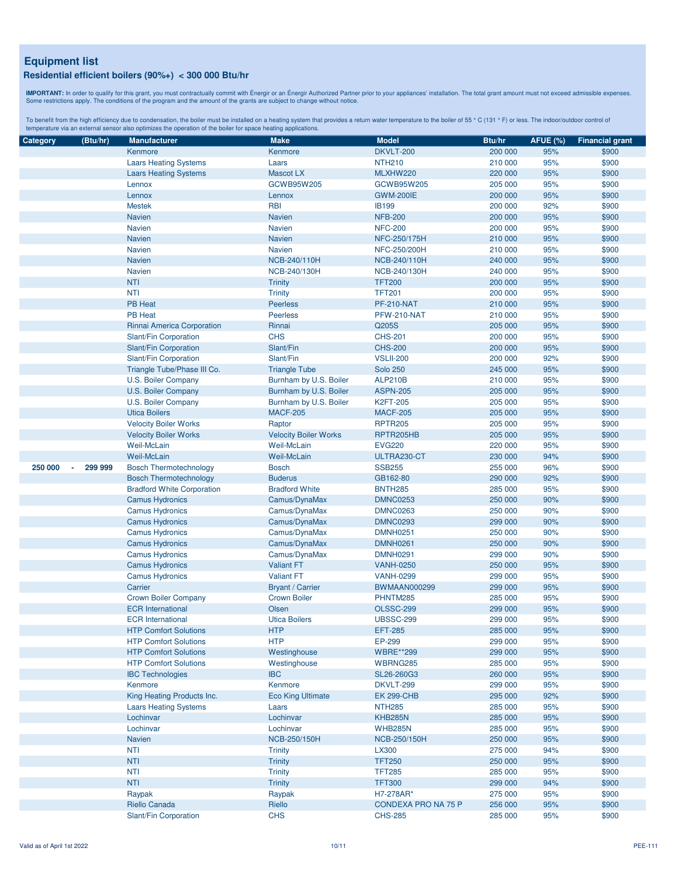**IMPORTANT:** In order to qualify for this grant, you must contractually commit with Énergir o an Énergir Authorized Partner prior to your appliances' installation. The total grant amount must not exceed admissible expenses

| Category | (Btu/hr) | <b>Manufacturer</b>               | <b>Make</b>                  | <b>Model</b>                  | Btu/hr  | <b>AFUE (%)</b> | <b>Financial grant</b> |
|----------|----------|-----------------------------------|------------------------------|-------------------------------|---------|-----------------|------------------------|
|          |          | Kenmore                           | Kenmore                      | <b>DKVLT-200</b>              | 200 000 | 95%             | \$900                  |
|          |          | <b>Laars Heating Systems</b>      | Laars                        | <b>NTH210</b>                 | 210 000 | 95%             | \$900                  |
|          |          | <b>Laars Heating Systems</b>      | <b>Mascot LX</b>             | MLXHW220                      | 220 000 | 95%             | \$900                  |
|          |          | Lennox                            | GCWB95W205                   | GCWB95W205                    | 205 000 | 95%             | \$900                  |
|          |          | Lennox                            | Lennox                       | <b>GWM-200IE</b>              | 200 000 | 95%             | \$900                  |
|          |          | <b>Mestek</b>                     | <b>RBI</b>                   | <b>IB199</b>                  | 200 000 | 92%             | \$900                  |
|          |          | <b>Navien</b>                     | <b>Navien</b>                | <b>NFB-200</b>                | 200 000 | 95%             | \$900                  |
|          |          | Navien                            | <b>Navien</b>                | <b>NFC-200</b>                | 200 000 | 95%             | \$900                  |
|          |          | <b>Navien</b>                     | <b>Navien</b>                | NFC-250/175H                  | 210 000 | 95%             | \$900                  |
|          |          | Navien                            | <b>Navien</b>                | NFC-250/200H                  | 210 000 | 95%             | \$900                  |
|          |          | <b>Navien</b>                     | NCB-240/110H                 | NCB-240/110H                  | 240 000 | 95%             | \$900                  |
|          |          |                                   |                              |                               |         |                 |                        |
|          |          | <b>Navien</b>                     | NCB-240/130H                 | NCB-240/130H<br><b>TFT200</b> | 240 000 | 95%             | \$900                  |
|          |          | <b>NTI</b>                        | <b>Trinity</b>               |                               | 200 000 | 95%             | \$900                  |
|          |          | <b>NTI</b>                        | <b>Trinity</b>               | <b>TFT201</b>                 | 200 000 | 95%             | \$900                  |
|          |          | <b>PB Heat</b>                    | <b>Peerless</b>              | <b>PF-210-NAT</b>             | 210 000 | 95%             | \$900                  |
|          |          | <b>PB Heat</b>                    | <b>Peerless</b>              | PFW-210-NAT                   | 210 000 | 95%             | \$900                  |
|          |          | Rinnai America Corporation        | Rinnai                       | Q205S                         | 205 000 | 95%             | \$900                  |
|          |          | Slant/Fin Corporation             | <b>CHS</b>                   | <b>CHS-201</b>                | 200 000 | 95%             | \$900                  |
|          |          | Slant/Fin Corporation             | Slant/Fin                    | <b>CHS-200</b>                | 200 000 | 95%             | \$900                  |
|          |          | Slant/Fin Corporation             | Slant/Fin                    | <b>VSLII-200</b>              | 200 000 | 92%             | \$900                  |
|          |          | Triangle Tube/Phase III Co.       | <b>Triangle Tube</b>         | <b>Solo 250</b>               | 245 000 | 95%             | \$900                  |
|          |          | U.S. Boiler Company               | Burnham by U.S. Boiler       | <b>ALP210B</b>                | 210 000 | 95%             | \$900                  |
|          |          | U.S. Boiler Company               | Burnham by U.S. Boiler       | <b>ASPN-205</b>               | 205 000 | 95%             | \$900                  |
|          |          | U.S. Boiler Company               | Burnham by U.S. Boiler       | <b>K2FT-205</b>               | 205 000 | 95%             | \$900                  |
|          |          | <b>Utica Boilers</b>              | <b>MACF-205</b>              | <b>MACF-205</b>               | 205 000 | 95%             | \$900                  |
|          |          | <b>Velocity Boiler Works</b>      | Raptor                       | <b>RPTR205</b>                | 205 000 | 95%             | \$900                  |
|          |          | <b>Velocity Boiler Works</b>      | <b>Velocity Boiler Works</b> | RPTR205HB                     | 205 000 | 95%             | \$900                  |
|          |          | Weil-McLain                       | <b>Weil-McLain</b>           | <b>EVG220</b>                 | 220 000 | 95%             | \$900                  |
|          |          | Weil-McLain                       | <b>Weil-McLain</b>           | ULTRA230-CT                   | 230 000 | 94%             | \$900                  |
| 250 000  | 299 999  | <b>Bosch Thermotechnology</b>     | <b>Bosch</b>                 | <b>SSB255</b>                 | 255 000 | 96%             | \$900                  |
|          |          | <b>Bosch Thermotechnology</b>     | <b>Buderus</b>               | GB162-80                      | 290 000 | 92%             | \$900                  |
|          |          | <b>Bradford White Corporation</b> | <b>Bradford White</b>        | <b>BNTH285</b>                | 285 000 | 95%             | \$900                  |
|          |          |                                   | Camus/DynaMax                | <b>DMNC0253</b>               | 250 000 | 90%             | \$900                  |
|          |          | <b>Camus Hydronics</b>            |                              |                               |         | 90%             |                        |
|          |          | <b>Camus Hydronics</b>            | Camus/DynaMax                | <b>DMNC0263</b>               | 250 000 |                 | \$900                  |
|          |          | <b>Camus Hydronics</b>            | Camus/DynaMax                | <b>DMNC0293</b>               | 299 000 | 90%             | \$900                  |
|          |          | <b>Camus Hydronics</b>            | Camus/DynaMax                | <b>DMNH0251</b>               | 250 000 | 90%             | \$900                  |
|          |          | <b>Camus Hydronics</b>            | Camus/DynaMax                | <b>DMNH0261</b>               | 250 000 | 90%             | \$900                  |
|          |          | <b>Camus Hydronics</b>            | Camus/DynaMax                | <b>DMNH0291</b>               | 299 000 | 90%             | \$900                  |
|          |          | <b>Camus Hydronics</b>            | <b>Valiant FT</b>            | <b>VANH-0250</b>              | 250 000 | 95%             | \$900                  |
|          |          | <b>Camus Hydronics</b>            | <b>Valiant FT</b>            | <b>VANH-0299</b>              | 299 000 | 95%             | \$900                  |
|          |          | Carrier                           | <b>Bryant / Carrier</b>      | <b>BWMAAN000299</b>           | 299 000 | 95%             | \$900                  |
|          |          | <b>Crown Boiler Company</b>       | <b>Crown Boiler</b>          | PHNTM285                      | 285 000 | 95%             | \$900                  |
|          |          | <b>ECR</b> International          | Olsen                        | <b>OLSSC-299</b>              | 299 000 | 95%             | \$900                  |
|          |          | <b>ECR</b> International          | <b>Utica Boilers</b>         | <b>UBSSC-299</b>              | 299 000 | 95%             | \$900                  |
|          |          | <b>HTP Comfort Solutions</b>      | <b>HTP</b>                   | <b>EFT-285</b>                | 285 000 | 95%             | \$900                  |
|          |          | <b>HTP Comfort Solutions</b>      | <b>HTP</b>                   | EP-299                        | 299 000 | 95%             | \$900                  |
|          |          | <b>HTP Comfort Solutions</b>      | Westinghouse                 | <b>WBRE**299</b>              | 299 000 | 95%             | \$900                  |
|          |          | <b>HTP Comfort Solutions</b>      | Westinghouse                 | WBRNG285                      | 285 000 | 95%             | \$900                  |
|          |          | <b>IBC Technologies</b>           | <b>IBC</b>                   | SL26-260G3                    | 260 000 | 95%             | \$900                  |
|          |          | Kenmore                           | Kenmore                      | DKVLT-299                     | 299 000 | 95%             | \$900                  |
|          |          | King Heating Products Inc.        | <b>Eco King Ultimate</b>     | <b>EK 299-CHB</b>             | 295 000 | 92%             | \$900                  |
|          |          | <b>Laars Heating Systems</b>      | Laars                        | <b>NTH285</b>                 | 285 000 | 95%             | \$900                  |
|          |          | Lochinvar                         | Lochinvar                    | <b>KHB285N</b>                | 285 000 | 95%             | \$900                  |
|          |          | Lochinvar                         | Lochinvar                    | <b>WHB285N</b>                | 285 000 | 95%             | \$900                  |
|          |          | Navien                            |                              | NCB-250/150H                  | 250 000 |                 |                        |
|          |          |                                   | NCB-250/150H                 |                               |         | 95%             | \$900                  |
|          |          | <b>NTI</b>                        | <b>Trinity</b>               | LX300                         | 275 000 | 94%             | \$900                  |
|          |          | <b>NTI</b>                        | <b>Trinity</b>               | <b>TFT250</b>                 | 250 000 | 95%             | \$900                  |
|          |          | <b>NTI</b>                        | <b>Trinity</b>               | <b>TFT285</b>                 | 285 000 | 95%             | \$900                  |
|          |          | <b>NTI</b>                        | <b>Trinity</b>               | <b>TFT300</b>                 | 299 000 | 94%             | \$900                  |
|          |          | Raypak                            | Raypak                       | H7-278AR*                     | 275 000 | 95%             | \$900                  |
|          |          | Riello Canada                     | Riello                       | CONDEXA PRO NA 75 P           | 256 000 | 95%             | \$900                  |
|          |          | Slant/Fin Corporation             | <b>CHS</b>                   | <b>CHS-285</b>                | 285 000 | 95%             | \$900                  |